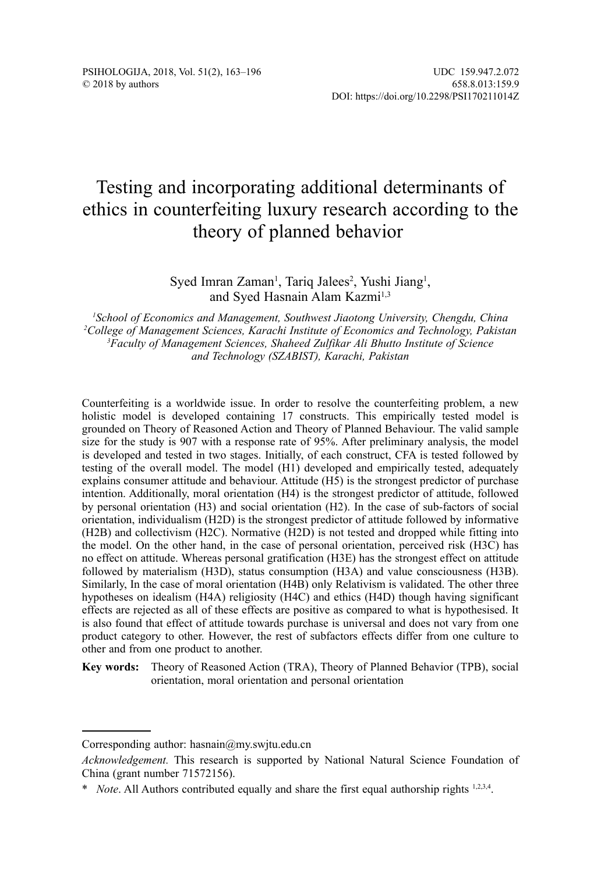# Testing and incorporating additional determinants of ethics in counterfeiting luxury research according to the theory of planned behavior

### Syed Imran Zaman<sup>1</sup>, Tariq Jalees<sup>2</sup>, Yushi Jiang<sup>1</sup>, and Sved Hasnain Alam Kazmi<sup>1,3</sup>

 *School of Economics and Management, Southwest Jiaotong University, Chengdu, China College of Management Sciences, Karachi Institute of Economics and Technology, Pakistan Faculty of Management Sciences, Shaheed Zulfikar Ali Bhutto Institute of Science and Technology (SZABIST), Karachi, Pakistan*

Counterfeiting is a worldwide issue. In order to resolve the counterfeiting problem, a new holistic model is developed containing 17 constructs. This empirically tested model is grounded on Theory of Reasoned Action and Theory of Planned Behaviour. The valid sample size for the study is 907 with a response rate of 95%. After preliminary analysis, the model is developed and tested in two stages. Initially, of each construct, CFA is tested followed by testing of the overall model. The model (H1) developed and empirically tested, adequately explains consumer attitude and behaviour. Attitude (H5) is the strongest predictor of purchase intention. Additionally, moral orientation (H4) is the strongest predictor of attitude, followed by personal orientation (H3) and social orientation (H2). In the case of sub-factors of social orientation, individualism (H2D) is the strongest predictor of attitude followed by informative (H2B) and collectivism (H2C). Normative (H2D) is not tested and dropped while fitting into the model. On the other hand, in the case of personal orientation, perceived risk (H3C) has no effect on attitude. Whereas personal gratification (H3E) has the strongest effect on attitude followed by materialism (H3D), status consumption (H3A) and value consciousness (H3B). Similarly, In the case of moral orientation (H4B) only Relativism is validated. The other three hypotheses on idealism (H4A) religiosity (H4C) and ethics (H4D) though having significant effects are rejected as all of these effects are positive as compared to what is hypothesised. It is also found that effect of attitude towards purchase is universal and does not vary from one product category to other. However, the rest of subfactors effects differ from one culture to other and from one product to another.

**Key words:** Theory of Reasoned Action (TRA), Theory of Planned Behavior (TPB), social orientation, moral orientation and personal orientation

Corresponding author: hasnain@my.swjtu.edu.cn

*Acknowledgement.* This research is supported by National Natural Science Foundation of China (grant number 71572156).

<sup>\*</sup> *Note*. All Authors contributed equally and share the first equal authorship rights 1,2,3,4.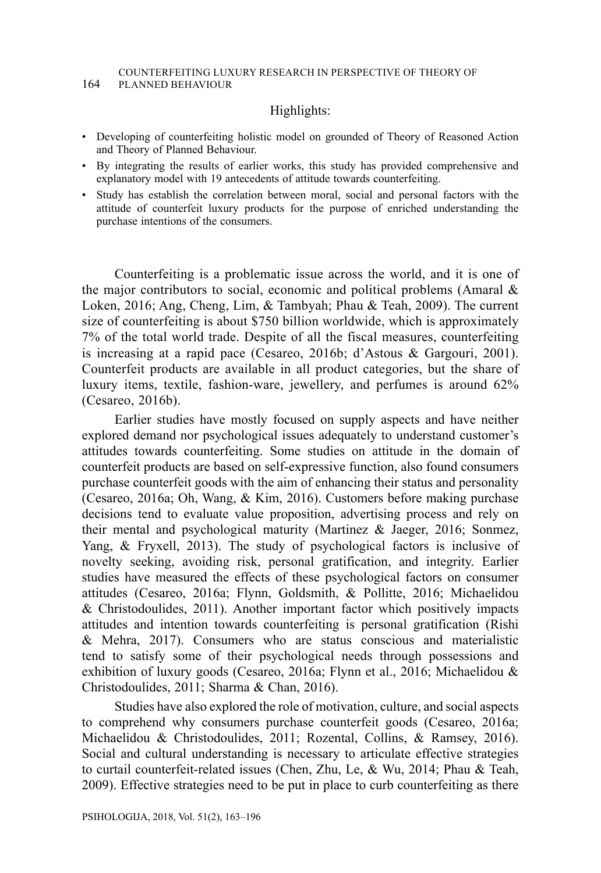#### COUNTERFEITING LUXURY RESEARCH IN PERSPECTIVE OF THEORY OF 164 PLANNED BEHAVIOUR

### Highlights:

- Developing of counterfeiting holistic model on grounded of Theory of Reasoned Action and Theory of Planned Behaviour.
- By integrating the results of earlier works, this study has provided comprehensive and explanatory model with 19 antecedents of attitude towards counterfeiting.
- Study has establish the correlation between moral, social and personal factors with the attitude of counterfeit luxury products for the purpose of enriched understanding the purchase intentions of the consumers.

Counterfeiting is a problematic issue across the world, and it is one of the major contributors to social, economic and political problems (Amaral  $\&$ Loken, 2016; Ang, Cheng, Lim, & Tambyah; Phau & Teah, 2009). The current size of counterfeiting is about \$750 billion worldwide, which is approximately 7% of the total world trade. Despite of all the fiscal measures, counterfeiting is increasing at a rapid pace (Cesareo, 2016b; d'Astous & Gargouri, 2001). Counterfeit products are available in all product categories, but the share of luxury items, textile, fashion-ware, jewellery, and perfumes is around 62% (Cesareo, 2016b).

Earlier studies have mostly focused on supply aspects and have neither explored demand nor psychological issues adequately to understand customer's attitudes towards counterfeiting. Some studies on attitude in the domain of counterfeit products are based on self-expressive function, also found consumers purchase counterfeit goods with the aim of enhancing their status and personality (Cesareo, 2016a; Oh, Wang, & Kim, 2016). Customers before making purchase decisions tend to evaluate value proposition, advertising process and rely on their mental and psychological maturity (Martinez & Jaeger, 2016; Sonmez, Yang, & Fryxell, 2013). The study of psychological factors is inclusive of novelty seeking, avoiding risk, personal gratification, and integrity. Earlier studies have measured the effects of these psychological factors on consumer attitudes (Cesareo, 2016a; Flynn, Goldsmith, & Pollitte, 2016; Michaelidou & Christodoulides, 2011). Another important factor which positively impacts attitudes and intention towards counterfeiting is personal gratification (Rishi & Mehra, 2017). Consumers who are status conscious and materialistic tend to satisfy some of their psychological needs through possessions and exhibition of luxury goods (Cesareo, 2016a; Flynn et al., 2016; Michaelidou & Christodoulides, 2011; Sharma & Chan, 2016).

Studies have also explored the role of motivation, culture, and social aspects to comprehend why consumers purchase counterfeit goods (Cesareo, 2016a; Michaelidou & Christodoulides, 2011; Rozental, Collins, & Ramsey, 2016). Social and cultural understanding is necessary to articulate effective strategies to curtail counterfeit-related issues (Chen, Zhu, Le, & Wu, 2014; Phau & Teah, 2009). Effective strategies need to be put in place to curb counterfeiting as there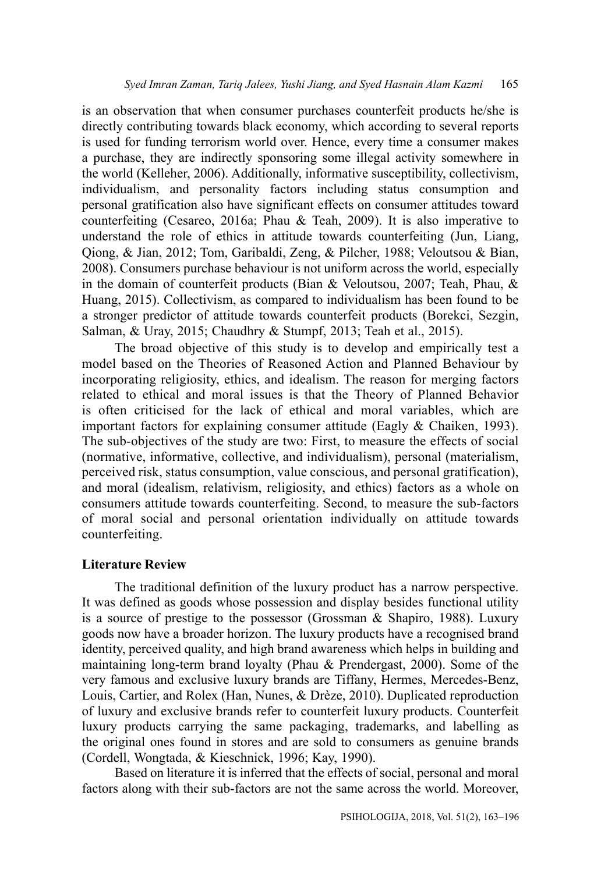is an observation that when consumer purchases counterfeit products he/she is directly contributing towards black economy, which according to several reports is used for funding terrorism world over. Hence, every time a consumer makes a purchase, they are indirectly sponsoring some illegal activity somewhere in the world (Kelleher, 2006). Additionally, informative susceptibility, collectivism, individualism, and personality factors including status consumption and personal gratification also have significant effects on consumer attitudes toward counterfeiting (Cesareo, 2016a; Phau & Teah, 2009). It is also imperative to understand the role of ethics in attitude towards counterfeiting (Jun, Liang, Qiong, & Jian, 2012; Tom, Garibaldi, Zeng, & Pilcher, 1988; Veloutsou & Bian, 2008). Consumers purchase behaviour is not uniform across the world, especially in the domain of counterfeit products (Bian & Veloutsou, 2007; Teah, Phau, & Huang, 2015). Collectivism, as compared to individualism has been found to be a stronger predictor of attitude towards counterfeit products (Borekci, Sezgin, Salman, & Uray, 2015; Chaudhry & Stumpf, 2013; Teah et al., 2015).

The broad objective of this study is to develop and empirically test a model based on the Theories of Reasoned Action and Planned Behaviour by incorporating religiosity, ethics, and idealism. The reason for merging factors related to ethical and moral issues is that the Theory of Planned Behavior is often criticised for the lack of ethical and moral variables, which are important factors for explaining consumer attitude (Eagly & Chaiken, 1993). The sub-objectives of the study are two: First, to measure the effects of social (normative, informative, collective, and individualism), personal (materialism, perceived risk, status consumption, value conscious, and personal gratification), and moral (idealism, relativism, religiosity, and ethics) factors as a whole on consumers attitude towards counterfeiting. Second, to measure the sub-factors of moral social and personal orientation individually on attitude towards counterfeiting.

### **Literature Review**

The traditional definition of the luxury product has a narrow perspective. It was defined as goods whose possession and display besides functional utility is a source of prestige to the possessor (Grossman & Shapiro, 1988). Luxury goods now have a broader horizon. The luxury products have a recognised brand identity, perceived quality, and high brand awareness which helps in building and maintaining long-term brand loyalty (Phau & Prendergast, 2000). Some of the very famous and exclusive luxury brands are Tiffany, Hermes, Mercedes-Benz, Louis, Cartier, and Rolex (Han, Nunes, & Drèze, 2010). Duplicated reproduction of luxury and exclusive brands refer to counterfeit luxury products. Counterfeit luxury products carrying the same packaging, trademarks, and labelling as the original ones found in stores and are sold to consumers as genuine brands (Cordell, Wongtada, & Kieschnick, 1996; Kay, 1990).

Based on literature it is inferred that the effects of social, personal and moral factors along with their sub-factors are not the same across the world. Moreover,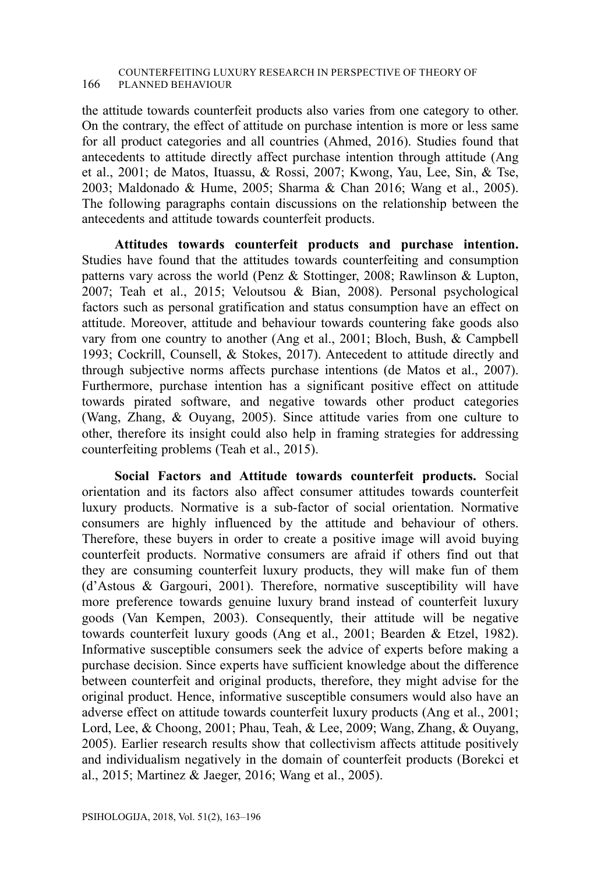#### COUNTERFEITING LUXURY RESEARCH IN PERSPECTIVE OF THEORY OF 166 PLANNED BEHAVIOUR

the attitude towards counterfeit products also varies from one category to other. On the contrary, the effect of attitude on purchase intention is more or less same for all product categories and all countries (Ahmed, 2016). Studies found that antecedents to attitude directly affect purchase intention through attitude (Ang et al., 2001; de Matos, Ituassu, & Rossi, 2007; Kwong, Yau, Lee, Sin, & Tse, 2003; Maldonado & Hume, 2005; Sharma & Chan 2016; Wang et al., 2005). The following paragraphs contain discussions on the relationship between the antecedents and attitude towards counterfeit products.

**Attitudes towards counterfeit products and purchase intention.** Studies have found that the attitudes towards counterfeiting and consumption patterns vary across the world (Penz & Stottinger, 2008; Rawlinson & Lupton, 2007; Teah et al., 2015; Veloutsou & Bian, 2008). Personal psychological factors such as personal gratification and status consumption have an effect on attitude. Moreover, attitude and behaviour towards countering fake goods also vary from one country to another (Ang et al., 2001; Bloch, Bush, & Campbell 1993; Cockrill, Counsell, & Stokes, 2017). Antecedent to attitude directly and through subjective norms affects purchase intentions (de Matos et al., 2007). Furthermore, purchase intention has a significant positive effect on attitude towards pirated software, and negative towards other product categories (Wang, Zhang, & Ouyang, 2005). Since attitude varies from one culture to other, therefore its insight could also help in framing strategies for addressing counterfeiting problems (Teah et al., 2015).

**Social Factors and Attitude towards counterfeit products.** Social orientation and its factors also affect consumer attitudes towards counterfeit luxury products. Normative is a sub-factor of social orientation. Normative consumers are highly influenced by the attitude and behaviour of others. Therefore, these buyers in order to create a positive image will avoid buying counterfeit products. Normative consumers are afraid if others find out that they are consuming counterfeit luxury products, they will make fun of them (d'Astous & Gargouri, 2001). Therefore, normative susceptibility will have more preference towards genuine luxury brand instead of counterfeit luxury goods (Van Kempen, 2003). Consequently, their attitude will be negative towards counterfeit luxury goods (Ang et al., 2001; Bearden & Etzel, 1982). Informative susceptible consumers seek the advice of experts before making a purchase decision. Since experts have sufficient knowledge about the difference between counterfeit and original products, therefore, they might advise for the original product. Hence, informative susceptible consumers would also have an adverse effect on attitude towards counterfeit luxury products (Ang et al., 2001; Lord, Lee, & Choong, 2001; Phau, Teah, & Lee, 2009; Wang, Zhang, & Ouyang, 2005). Earlier research results show that collectivism affects attitude positively and individualism negatively in the domain of counterfeit products (Borekci et al., 2015; Martinez & Jaeger, 2016; Wang et al., 2005).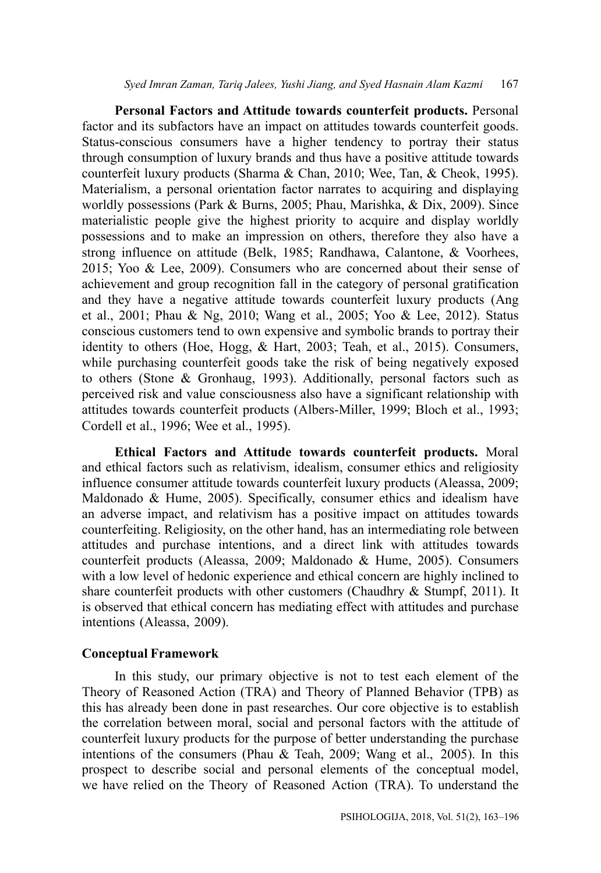**Personal Factors and Attitude towards counterfeit products.** Personal factor and its subfactors have an impact on attitudes towards counterfeit goods. Status-conscious consumers have a higher tendency to portray their status through consumption of luxury brands and thus have a positive attitude towards counterfeit luxury products (Sharma & Chan, 2010; Wee, Tan, & Cheok, 1995). Materialism, a personal orientation factor narrates to acquiring and displaying worldly possessions (Park & Burns, 2005; Phau, Marishka, & Dix, 2009). Since materialistic people give the highest priority to acquire and display worldly possessions and to make an impression on others, therefore they also have a strong influence on attitude (Belk, 1985; Randhawa, Calantone, & Voorhees, 2015; Yoo & Lee, 2009). Consumers who are concerned about their sense of achievement and group recognition fall in the category of personal gratification and they have a negative attitude towards counterfeit luxury products (Ang et al., 2001; Phau & Ng, 2010; Wang et al., 2005; Yoo & Lee, 2012). Status conscious customers tend to own expensive and symbolic brands to portray their identity to others (Hoe, Hogg, & Hart, 2003; Teah, et al., 2015). Consumers, while purchasing counterfeit goods take the risk of being negatively exposed to others (Stone & Gronhaug, 1993). Additionally, personal factors such as perceived risk and value consciousness also have a significant relationship with attitudes towards counterfeit products (Albers-Miller, 1999; Bloch et al., 1993; Cordell et al., 1996; Wee et al., 1995).

**Ethical Factors and Attitude towards counterfeit products.** Moral and ethical factors such as relativism, idealism, consumer ethics and religiosity influence consumer attitude towards counterfeit luxury products (Aleassa, 2009; Maldonado & Hume, 2005). Specifically, consumer ethics and idealism have an adverse impact, and relativism has a positive impact on attitudes towards counterfeiting. Religiosity, on the other hand, has an intermediating role between attitudes and purchase intentions, and a direct link with attitudes towards counterfeit products (Aleassa, 2009; Maldonado & Hume, 2005). Consumers with a low level of hedonic experience and ethical concern are highly inclined to share counterfeit products with other customers (Chaudhry & Stumpf, 2011). It is observed that ethical concern has mediating effect with attitudes and purchase intentions (Aleassa, 2009).

### **Conceptual Framework**

In this study, our primary objective is not to test each element of the Theory of Reasoned Action (TRA) and Theory of Planned Behavior (TPB) as this has already been done in past researches. Our core objective is to establish the correlation between moral, social and personal factors with the attitude of counterfeit luxury products for the purpose of better understanding the purchase intentions of the consumers (Phau & Teah, 2009; Wang et al., 2005). In this prospect to describe social and personal elements of the conceptual model, we have relied on the Theory of Reasoned Action (TRA). To understand the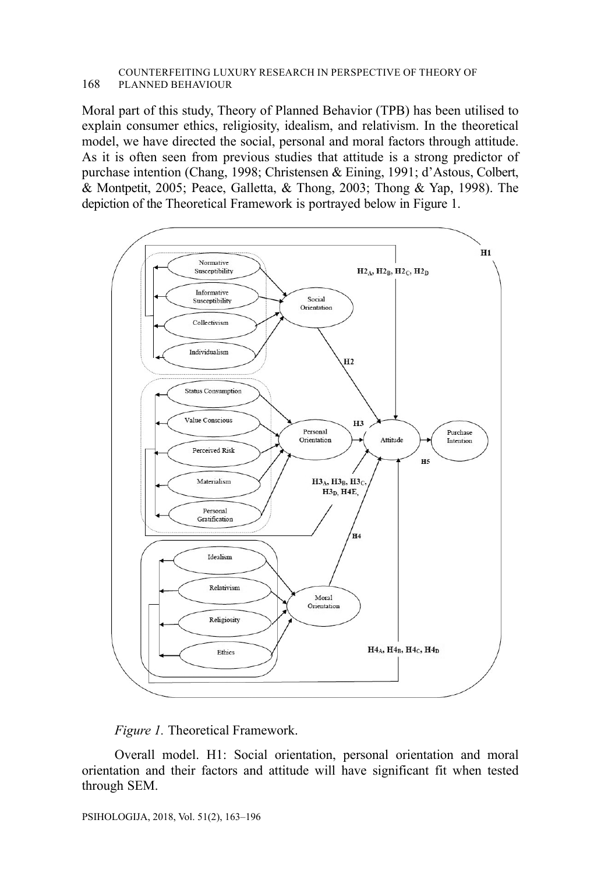#### COUNTERFEITING LUXURY RESEARCH IN PERSPECTIVE OF THEORY OF 168 PLANNED BEHAVIOUR

Moral part of this study, Theory of Planned Behavior (TPB) has been utilised to explain consumer ethics, religiosity, idealism, and relativism. In the theoretical model, we have directed the social, personal and moral factors through attitude. As it is often seen from previous studies that attitude is a strong predictor of purchase intention (Chang, 1998; Christensen & Eining, 1991; d'Astous, Colbert, & Montpetit, 2005; Peace, Galletta, & Thong, 2003; Thong & Yap, 1998). The depiction of the Theoretical Framework is portrayed below in Figure 1.





Overall model. H1: Social orientation, personal orientation and moral orientation and their factors and attitude will have significant fit when tested through SEM.

PSIHOLOGIJA, 2018, Vol. 51(2), 163–196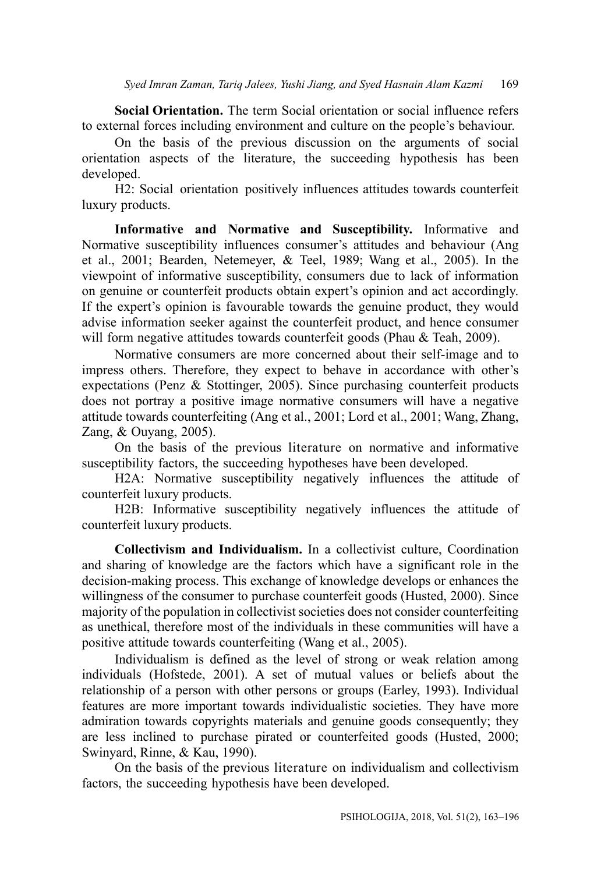**Social Orientation.** The term Social orientation or social influence refers to external forces including environment and culture on the people's behaviour.

On the basis of the previous discussion on the arguments of social orientation aspects of the literature, the succeeding hypothesis has been developed.

H2: Social orientation positively influences attitudes towards counterfeit luxury products.

**Informative and Normative and Susceptibility.** Informative and Normative susceptibility influences consumer's attitudes and behaviour (Ang et al., 2001; Bearden, Netemeyer, & Teel, 1989; Wang et al., 2005). In the viewpoint of informative susceptibility, consumers due to lack of information on genuine or counterfeit products obtain expert's opinion and act accordingly. If the expert's opinion is favourable towards the genuine product, they would advise information seeker against the counterfeit product, and hence consumer will form negative attitudes towards counterfeit goods (Phau & Teah, 2009).

Normative consumers are more concerned about their self-image and to impress others. Therefore, they expect to behave in accordance with other's expectations (Penz & Stottinger, 2005). Since purchasing counterfeit products does not portray a positive image normative consumers will have a negative attitude towards counterfeiting (Ang et al., 2001; Lord et al., 2001; Wang, Zhang, Zang, & Ouyang, 2005).

On the basis of the previous literature on normative and informative susceptibility factors, the succeeding hypotheses have been developed.

H2A: Normative susceptibility negatively influences the attitude of counterfeit luxury products.

H2B: Informative susceptibility negatively influences the attitude of counterfeit luxury products.

**Collectivism and Individualism.** In a collectivist culture, Coordination and sharing of knowledge are the factors which have a significant role in the decision-making process. This exchange of knowledge develops or enhances the willingness of the consumer to purchase counterfeit goods (Husted, 2000). Since majority of the population in collectivist societies does not consider counterfeiting as unethical, therefore most of the individuals in these communities will have a positive attitude towards counterfeiting (Wang et al., 2005).

Individualism is defined as the level of strong or weak relation among individuals (Hofstede, 2001). A set of mutual values or beliefs about the relationship of a person with other persons or groups (Earley, 1993). Individual features are more important towards individualistic societies. They have more admiration towards copyrights materials and genuine goods consequently; they are less inclined to purchase pirated or counterfeited goods (Husted, 2000; Swinyard, Rinne, & Kau, 1990).

On the basis of the previous literature on individualism and collectivism factors, the succeeding hypothesis have been developed.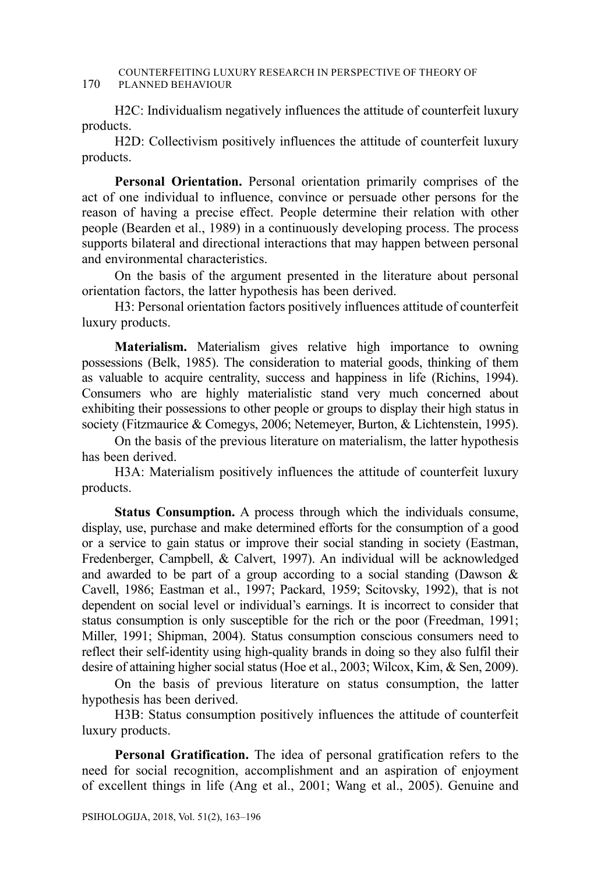#### COUNTERFEITING LUXURY RESEARCH IN PERSPECTIVE OF THEORY OF 170 PLANNED BEHAVIOUR

H2C: Individualism negatively influences the attitude of counterfeit luxury products.

H2D: Collectivism positively influences the attitude of counterfeit luxury products.

**Personal Orientation.** Personal orientation primarily comprises of the act of one individual to influence, convince or persuade other persons for the reason of having a precise effect. People determine their relation with other people (Bearden et al., 1989) in a continuously developing process. The process supports bilateral and directional interactions that may happen between personal and environmental characteristics.

On the basis of the argument presented in the literature about personal orientation factors, the latter hypothesis has been derived.

H3: Personal orientation factors positively influences attitude of counterfeit luxury products.

**Materialism.** Materialism gives relative high importance to owning possessions (Belk, 1985). The consideration to material goods, thinking of them as valuable to acquire centrality, success and happiness in life (Richins, 1994). Consumers who are highly materialistic stand very much concerned about exhibiting their possessions to other people or groups to display their high status in society (Fitzmaurice & Comegys, 2006; Netemeyer, Burton, & Lichtenstein, 1995).

On the basis of the previous literature on materialism, the latter hypothesis has been derived.

H3A: Materialism positively influences the attitude of counterfeit luxury products.

**Status Consumption.** A process through which the individuals consume, display, use, purchase and make determined efforts for the consumption of a good or a service to gain status or improve their social standing in society (Eastman, Fredenberger, Campbell, & Calvert, 1997). An individual will be acknowledged and awarded to be part of a group according to a social standing (Dawson & Cavell, 1986; Eastman et al., 1997; Packard, 1959; Scitovsky, 1992), that is not dependent on social level or individual's earnings. It is incorrect to consider that status consumption is only susceptible for the rich or the poor (Freedman, 1991; Miller, 1991; Shipman, 2004). Status consumption conscious consumers need to reflect their self-identity using high-quality brands in doing so they also fulfil their desire of attaining higher social status (Hoe et al., 2003; Wilcox, Kim, & Sen, 2009).

On the basis of previous literature on status consumption, the latter hypothesis has been derived.

H3B: Status consumption positively influences the attitude of counterfeit luxury products.

**Personal Gratification.** The idea of personal gratification refers to the need for social recognition, accomplishment and an aspiration of enjoyment of excellent things in life (Ang et al., 2001; Wang et al., 2005). Genuine and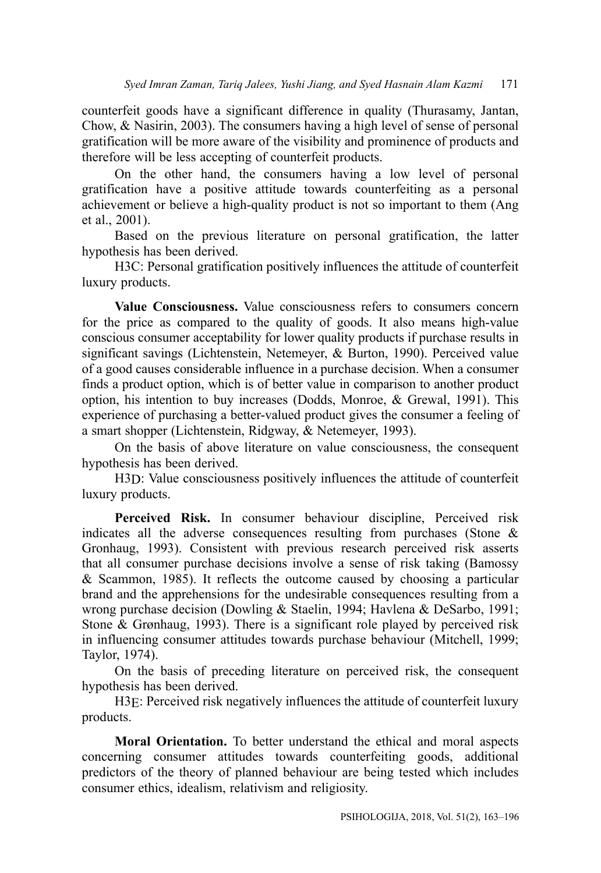counterfeit goods have a significant difference in quality (Thurasamy, Jantan, Chow, & Nasirin, 2003). The consumers having a high level of sense of personal gratification will be more aware of the visibility and prominence of products and therefore will be less accepting of counterfeit products.

On the other hand, the consumers having a low level of personal gratification have a positive attitude towards counterfeiting as a personal achievement or believe a high-quality product is not so important to them (Ang et al., 2001).

Based on the previous literature on personal gratification, the latter hypothesis has been derived.

H3C: Personal gratification positively influences the attitude of counterfeit luxury products.

**Value Consciousness.** Value consciousness refers to consumers concern for the price as compared to the quality of goods. It also means high-value conscious consumer acceptability for lower quality products if purchase results in significant savings (Lichtenstein, Netemeyer, & Burton, 1990). Perceived value of a good causes considerable influence in a purchase decision. When a consumer finds a product option, which is of better value in comparison to another product option, his intention to buy increases (Dodds, Monroe, & Grewal, 1991). This experience of purchasing a better-valued product gives the consumer a feeling of a smart shopper (Lichtenstein, Ridgway, & Netemeyer, 1993).

On the basis of above literature on value consciousness, the consequent hypothesis has been derived.

H3D: Value consciousness positively influences the attitude of counterfeit luxury products.

**Perceived Risk.** In consumer behaviour discipline, Perceived risk indicates all the adverse consequences resulting from purchases (Stone & Gronhaug, 1993). Consistent with previous research perceived risk asserts that all consumer purchase decisions involve a sense of risk taking (Bamossy & Scammon, 1985). It reflects the outcome caused by choosing a particular brand and the apprehensions for the undesirable consequences resulting from a wrong purchase decision (Dowling & Staelin, 1994; Havlena & DeSarbo, 1991; Stone & Grønhaug, 1993). There is a significant role played by perceived risk in influencing consumer attitudes towards purchase behaviour (Mitchell, 1999; Taylor, 1974).

On the basis of preceding literature on perceived risk, the consequent hypothesis has been derived.

H3E: Perceived risk negatively influences the attitude of counterfeit luxury products.

**Moral Orientation.** To better understand the ethical and moral aspects concerning consumer attitudes towards counterfeiting goods, additional predictors of the theory of planned behaviour are being tested which includes consumer ethics, idealism, relativism and religiosity.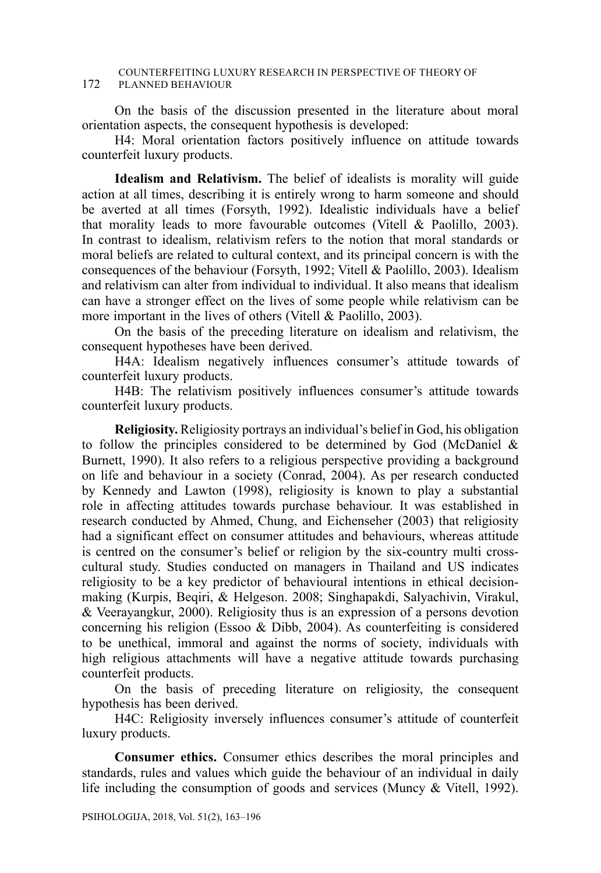#### COUNTERFEITING LUXURY RESEARCH IN PERSPECTIVE OF THEORY OF 172 PLANNED BEHAVIOUR

On the basis of the discussion presented in the literature about moral orientation aspects, the consequent hypothesis is developed:

H4: Moral orientation factors positively influence on attitude towards counterfeit luxury products.

**Idealism and Relativism.** The belief of idealists is morality will guide action at all times, describing it is entirely wrong to harm someone and should be averted at all times (Forsyth, 1992). Idealistic individuals have a belief that morality leads to more favourable outcomes (Vitell & Paolillo, 2003). In contrast to idealism, relativism refers to the notion that moral standards or moral beliefs are related to cultural context, and its principal concern is with the consequences of the behaviour (Forsyth, 1992; Vitell & Paolillo, 2003). Idealism and relativism can alter from individual to individual. It also means that idealism can have a stronger effect on the lives of some people while relativism can be more important in the lives of others (Vitell & Paolillo, 2003).

On the basis of the preceding literature on idealism and relativism, the consequent hypotheses have been derived.

H4A: Idealism negatively influences consumer's attitude towards of counterfeit luxury products.

H4B: The relativism positively influences consumer's attitude towards counterfeit luxury products.

**Religiosity.** Religiosity portrays an individual's belief in God, his obligation to follow the principles considered to be determined by God (McDaniel & Burnett, 1990). It also refers to a religious perspective providing a background on life and behaviour in a society (Conrad, 2004). As per research conducted by Kennedy and Lawton (1998), religiosity is known to play a substantial role in affecting attitudes towards purchase behaviour. It was established in research conducted by Ahmed, Chung, and Eichenseher (2003) that religiosity had a significant effect on consumer attitudes and behaviours, whereas attitude is centred on the consumer's belief or religion by the six-country multi crosscultural study. Studies conducted on managers in Thailand and US indicates religiosity to be a key predictor of behavioural intentions in ethical decisionmaking (Kurpis, Beqiri, & Helgeson. 2008; Singhapakdi, Salyachivin, Virakul, & Veerayangkur, 2000). Religiosity thus is an expression of a persons devotion concerning his religion (Essoo & Dibb, 2004). As counterfeiting is considered to be unethical, immoral and against the norms of society, individuals with high religious attachments will have a negative attitude towards purchasing counterfeit products.

On the basis of preceding literature on religiosity, the consequent hypothesis has been derived.

H4C: Religiosity inversely influences consumer's attitude of counterfeit luxury products.

**Consumer ethics.** Consumer ethics describes the moral principles and standards, rules and values which guide the behaviour of an individual in daily life including the consumption of goods and services (Muncy & Vitell, 1992).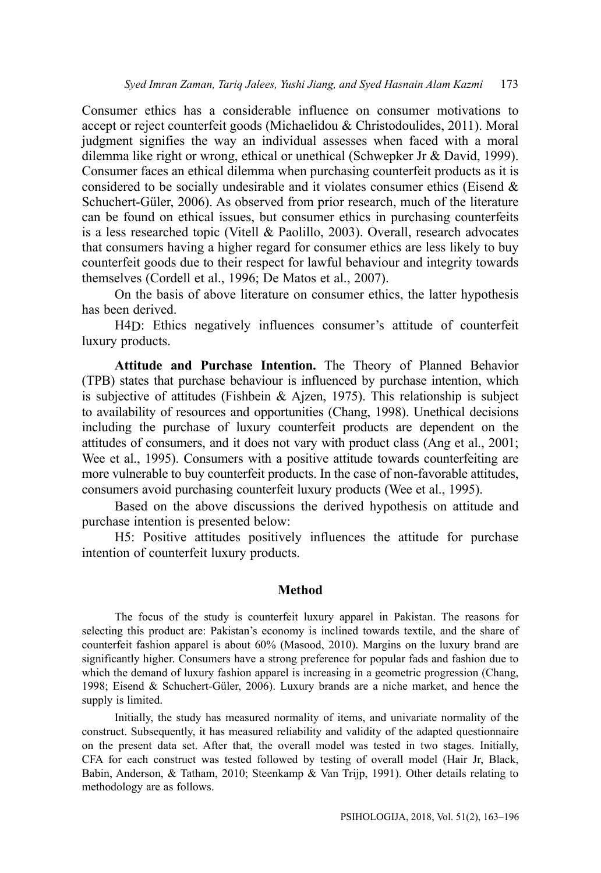Consumer ethics has a considerable influence on consumer motivations to accept or reject counterfeit goods (Michaelidou & Christodoulides, 2011). Moral judgment signifies the way an individual assesses when faced with a moral dilemma like right or wrong, ethical or unethical (Schwepker Jr & David, 1999). Consumer faces an ethical dilemma when purchasing counterfeit products as it is considered to be socially undesirable and it violates consumer ethics (Eisend & Schuchert-Güler, 2006). As observed from prior research, much of the literature can be found on ethical issues, but consumer ethics in purchasing counterfeits is a less researched topic (Vitell & Paolillo, 2003). Overall, research advocates that consumers having a higher regard for consumer ethics are less likely to buy counterfeit goods due to their respect for lawful behaviour and integrity towards themselves (Cordell et al., 1996; De Matos et al., 2007).

On the basis of above literature on consumer ethics, the latter hypothesis has been derived.

H4D: Ethics negatively influences consumer's attitude of counterfeit luxury products.

**Attitude and Purchase Intention.** The Theory of Planned Behavior (TPB) states that purchase behaviour is influenced by purchase intention, which is subjective of attitudes (Fishbein & Ajzen, 1975). This relationship is subject to availability of resources and opportunities (Chang, 1998). Unethical decisions including the purchase of luxury counterfeit products are dependent on the attitudes of consumers, and it does not vary with product class (Ang et al., 2001; Wee et al., 1995). Consumers with a positive attitude towards counterfeiting are more vulnerable to buy counterfeit products. In the case of non-favorable attitudes, consumers avoid purchasing counterfeit luxury products (Wee et al., 1995).

Based on the above discussions the derived hypothesis on attitude and purchase intention is presented below:

H5: Positive attitudes positively influences the attitude for purchase intention of counterfeit luxury products.

### **Method**

The focus of the study is counterfeit luxury apparel in Pakistan. The reasons for selecting this product are: Pakistan's economy is inclined towards textile, and the share of counterfeit fashion apparel is about 60% (Masood, 2010). Margins on the luxury brand are significantly higher. Consumers have a strong preference for popular fads and fashion due to which the demand of luxury fashion apparel is increasing in a geometric progression (Chang, 1998; Eisend & Schuchert-Güler, 2006). Luxury brands are a niche market, and hence the supply is limited.

Initially, the study has measured normality of items, and univariate normality of the construct. Subsequently, it has measured reliability and validity of the adapted questionnaire on the present data set. After that, the overall model was tested in two stages. Initially, CFA for each construct was tested followed by testing of overall model (Hair Jr, Black, Babin, Anderson, & Tatham, 2010; Steenkamp & Van Trijp, 1991). Other details relating to methodology are as follows.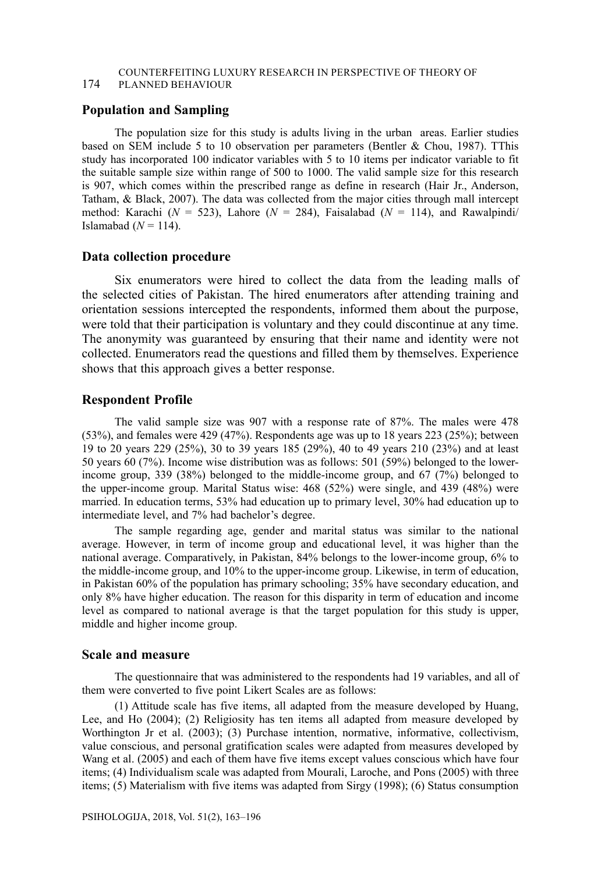# COUNTERFEITING LUXURY RESEARCH IN PERSPECTIVE OF THEORY OF

### 174 PLANNED BEHAVIOUR

#### **Population and Sampling**

The population size for this study is adults living in the urban areas. Earlier studies based on SEM include 5 to 10 observation per parameters (Bentler & Chou, 1987). TThis study has incorporated 100 indicator variables with 5 to 10 items per indicator variable to fit the suitable sample size within range of 500 to 1000. The valid sample size for this research is 907, which comes within the prescribed range as define in research (Hair Jr., Anderson, Tatham, & Black, 2007). The data was collected from the major cities through mall intercept method: Karachi ( $N = 523$ ), Lahore ( $N = 284$ ), Faisalabad ( $N = 114$ ), and Rawalpindi Islamabad  $(N = 114)$ .

#### **Data collection procedure**

Six enumerators were hired to collect the data from the leading malls of the selected cities of Pakistan. The hired enumerators after attending training and orientation sessions intercepted the respondents, informed them about the purpose, were told that their participation is voluntary and they could discontinue at any time. The anonymity was guaranteed by ensuring that their name and identity were not collected. Enumerators read the questions and filled them by themselves. Experience shows that this approach gives a better response.

#### **Respondent Profile**

The valid sample size was 907 with a response rate of 87%. The males were 478 (53%), and females were 429 (47%). Respondents age was up to 18 years 223 (25%); between 19 to 20 years 229 (25%), 30 to 39 years 185 (29%), 40 to 49 years 210 (23%) and at least 50 years 60 (7%). Income wise distribution was as follows: 501 (59%) belonged to the lowerincome group, 339 (38%) belonged to the middle-income group, and 67 (7%) belonged to the upper-income group. Marital Status wise: 468 (52%) were single, and 439 (48%) were married. In education terms, 53% had education up to primary level, 30% had education up to intermediate level, and 7% had bachelor's degree.

The sample regarding age, gender and marital status was similar to the national average. However, in term of income group and educational level, it was higher than the national average. Comparatively, in Pakistan, 84% belongs to the lower-income group, 6% to the middle-income group, and 10% to the upper-income group. Likewise, in term of education, in Pakistan 60% of the population has primary schooling; 35% have secondary education, and only 8% have higher education. The reason for this disparity in term of education and income level as compared to national average is that the target population for this study is upper, middle and higher income group.

### **Scale and measure**

The questionnaire that was administered to the respondents had 19 variables, and all of them were converted to five point Likert Scales are as follows:

(1) Attitude scale has five items, all adapted from the measure developed by Huang, Lee, and Ho (2004); (2) Religiosity has ten items all adapted from measure developed by Worthington Jr et al. (2003); (3) Purchase intention, normative, informative, collectivism, value conscious, and personal gratification scales were adapted from measures developed by Wang et al. (2005) and each of them have five items except values conscious which have four items; (4) Individualism scale was adapted from Mourali, Laroche, and Pons (2005) with three items; (5) Materialism with five items was adapted from Sirgy (1998); (6) Status consumption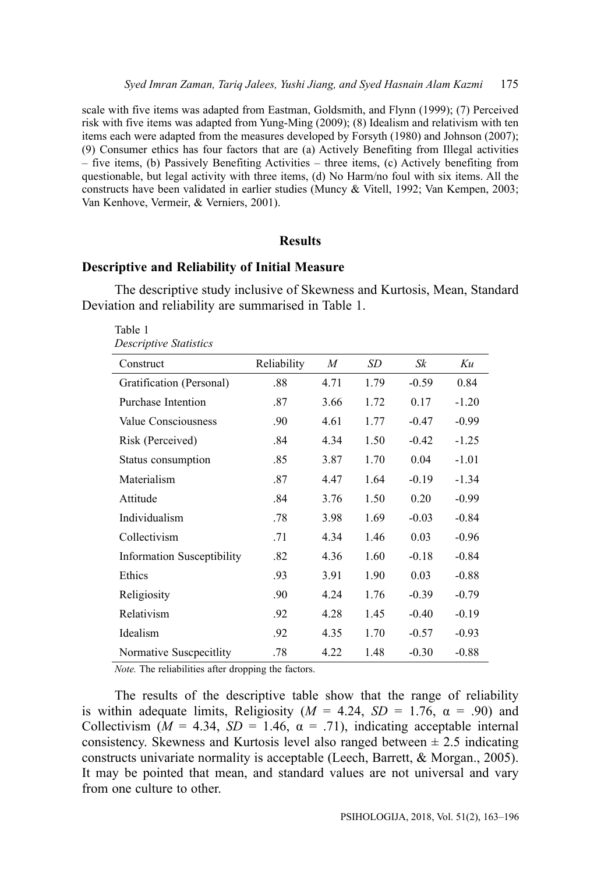scale with five items was adapted from Eastman, Goldsmith, and Flynn (1999); (7) Perceived risk with five items was adapted from Yung-Ming (2009); (8) Idealism and relativism with ten items each were adapted from the measures developed by Forsyth (1980) and Johnson (2007); (9) Consumer ethics has four factors that are (a) Actively Benefiting from Illegal activities – five items, (b) Passively Benefiting Activities – three items, (c) Actively benefiting from questionable, but legal activity with three items, (d) No Harm/no foul with six items. All the constructs have been validated in earlier studies (Muncy & Vitell, 1992; Van Kempen, 2003; Van Kenhove, Vermeir, & Verniers, 2001).

### **Results**

### **Descriptive and Reliability of Initial Measure**

The descriptive study inclusive of Skewness and Kurtosis, Mean, Standard Deviation and reliability are summarised in Table 1.

Table 1 *Descriptive Statistics*

| Construct                         | Reliability | $\boldsymbol{M}$ | SD   | Sk      | Ku      |
|-----------------------------------|-------------|------------------|------|---------|---------|
| Gratification (Personal)          | .88         | 4.71             | 1.79 | $-0.59$ | 0.84    |
| Purchase Intention                | .87         | 3.66             | 1.72 | 0.17    | $-1.20$ |
| Value Consciousness               | .90         | 4.61             | 1.77 | $-0.47$ | $-0.99$ |
| Risk (Perceived)                  | .84         | 4.34             | 1.50 | $-0.42$ | $-1.25$ |
| Status consumption                | .85         | 3.87             | 1.70 | 0.04    | $-1.01$ |
| Materialism                       | .87         | 4.47             | 1.64 | $-0.19$ | $-1.34$ |
| Attitude                          | .84         | 3.76             | 1.50 | 0.20    | $-0.99$ |
| Individualism                     | .78         | 3.98             | 1.69 | $-0.03$ | $-0.84$ |
| Collectivism                      | .71         | 4.34             | 1.46 | 0.03    | $-0.96$ |
| <b>Information Susceptibility</b> | .82         | 4.36             | 1.60 | $-0.18$ | $-0.84$ |
| Ethics                            | .93         | 3.91             | 1.90 | 0.03    | $-0.88$ |
| Religiosity                       | .90         | 4.24             | 1.76 | $-0.39$ | $-0.79$ |
| Relativism                        | .92         | 4.28             | 1.45 | $-0.40$ | $-0.19$ |
| Idealism                          | .92         | 4.35             | 1.70 | $-0.57$ | $-0.93$ |
| Normative Suscpecitlity           | .78         | 4.22             | 1.48 | $-0.30$ | $-0.88$ |

*Note.* The reliabilities after dropping the factors.

The results of the descriptive table show that the range of reliability is within adequate limits, Religiosity ( $M = 4.24$ ,  $SD = 1.76$ ,  $\alpha = .90$ ) and Collectivism ( $M = 4.34$ ,  $SD = 1.46$ ,  $\alpha = .71$ ), indicating acceptable internal consistency. Skewness and Kurtosis level also ranged between  $\pm 2.5$  indicating constructs univariate normality is acceptable (Leech, Barrett, & Morgan., 2005). It may be pointed that mean, and standard values are not universal and vary from one culture to other.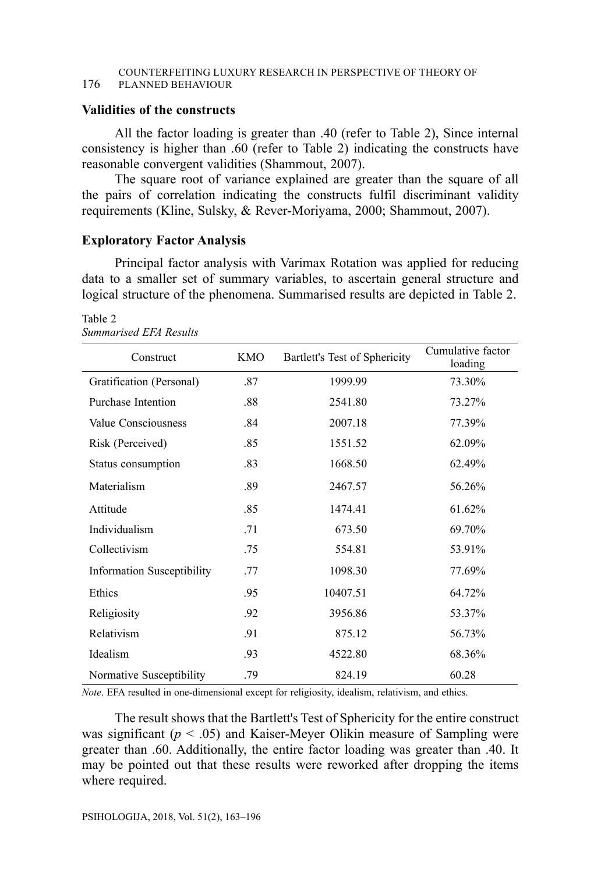#### COUNTERFEITING LUXURY RESEARCH IN PERSPECTIVE OF THEORY OF 176 PLANNED BEHAVIOUR

### **Validities of the constructs**

All the factor loading is greater than .40 (refer to Table 2), Since internal consistency is higher than .60 (refer to Table 2) indicating the constructs have reasonable convergent validities (Shammout, 2007).

The square root of variance explained are greater than the square of all the pairs of correlation indicating the constructs fulfil discriminant validity requirements (Kline, Sulsky, & Rever-Moriyama, 2000; Shammout, 2007).

### **Exploratory Factor Analysis**

Principal factor analysis with Varimax Rotation was applied for reducing data to a smaller set of summary variables, to ascertain general structure and logical structure of the phenomena. Summarised results are depicted in Table 2.

| Construct                  | KMO | Bartlett's Test of Sphericity | Cumulative factor<br>loading |
|----------------------------|-----|-------------------------------|------------------------------|
| Gratification (Personal)   | .87 | 1999.99                       | 73.30%                       |
| Purchase Intention         | .88 | 2541.80                       | 73.27%                       |
| Value Consciousness        | .84 | 2007.18                       | 77.39%                       |
| Risk (Perceived)           | .85 | 1551.52                       | 62.09%                       |
| Status consumption         | .83 | 1668.50                       | 62.49%                       |
| Materialism                | .89 | 2467.57                       | 56.26%                       |
| Attitude                   | .85 | 1474.41                       | 61.62%                       |
| Individualism              | .71 | 673.50                        | 69.70%                       |
| Collectivism               | .75 | 554.81                        | 53.91%                       |
| Information Susceptibility | .77 | 1098.30                       | 77.69%                       |
| Ethics                     | .95 | 10407.51                      | 64.72%                       |
| Religiosity                | .92 | 3956.86                       | 53.37%                       |
| Relativism                 | .91 | 875.12                        | 56.73%                       |
| Idealism                   | .93 | 4522.80                       | 68.36%                       |
| Normative Susceptibility   | .79 | 824.19                        | 60.28                        |

Table 2 *Summarised EFA Results*

*Note*. EFA resulted in one-dimensional except for religiosity, idealism, relativism, and ethics.

The result shows that the Bartlett's Test of Sphericity for the entire construct was significant  $(p < .05)$  and Kaiser-Meyer Olikin measure of Sampling were greater than .60. Additionally, the entire factor loading was greater than .40. It may be pointed out that these results were reworked after dropping the items where required.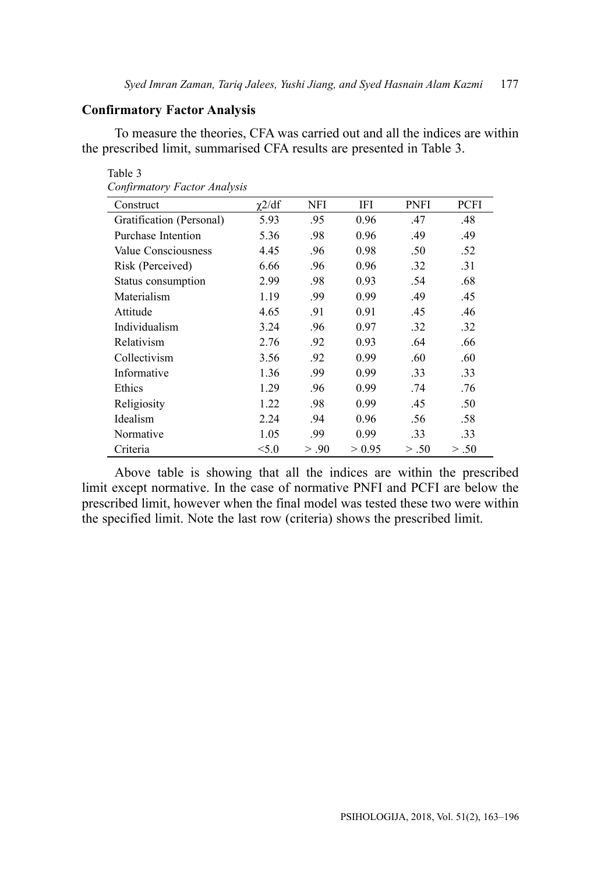### **Confirmatory Factor Analysis**

To measure the theories, CFA was carried out and all the indices are within the prescribed limit, summarised CFA results are presented in Table 3.

| Construct                | $\gamma$ 2/df | NFI   | IFI    | <b>PNFI</b> | PCFI  |
|--------------------------|---------------|-------|--------|-------------|-------|
| Gratification (Personal) | 5.93          | .95   | 0.96   | .47         | .48   |
| Purchase Intention       | 5.36          | .98   | 0.96   | .49         | .49   |
| Value Consciousness      | 4.45          | .96   | 0.98   | .50         | .52   |
| Risk (Perceived)         | 6.66          | .96   | 0.96   | .32         | .31   |
| Status consumption       | 2.99          | .98   | 0.93   | .54         | .68   |
| Materialism              | 1.19          | .99   | 0.99   | .49         | .45   |
| Attitude                 | 4.65          | .91   | 0.91   | .45         | .46   |
| Individualism            | 3.24          | .96   | 0.97   | .32         | .32   |
| Relativism               | 2.76          | .92   | 0.93   | .64         | .66   |
| Collectivism             | 3.56          | .92   | 0.99   | .60         | .60   |
| Informative              | 1.36          | .99   | 0.99   | .33         | .33   |
| Ethics                   | 1.29          | .96   | 0.99   | .74         | .76   |
| Religiosity              | 1.22          | .98   | 0.99   | .45         | .50   |
| Idealism                 | 2.24          | .94   | 0.96   | .56         | .58   |
| Normative                | 1.05          | .99   | 0.99   | .33         | .33   |
| Criteria                 | < 5.0         | > .90 | > 0.95 | > .50       | > .50 |

*Confirmatory Factor Analysis*

Table 3

Above table is showing that all the indices are within the prescribed limit except normative. In the case of normative PNFI and PCFI are below the prescribed limit, however when the final model was tested these two were within the specified limit. Note the last row (criteria) shows the prescribed limit.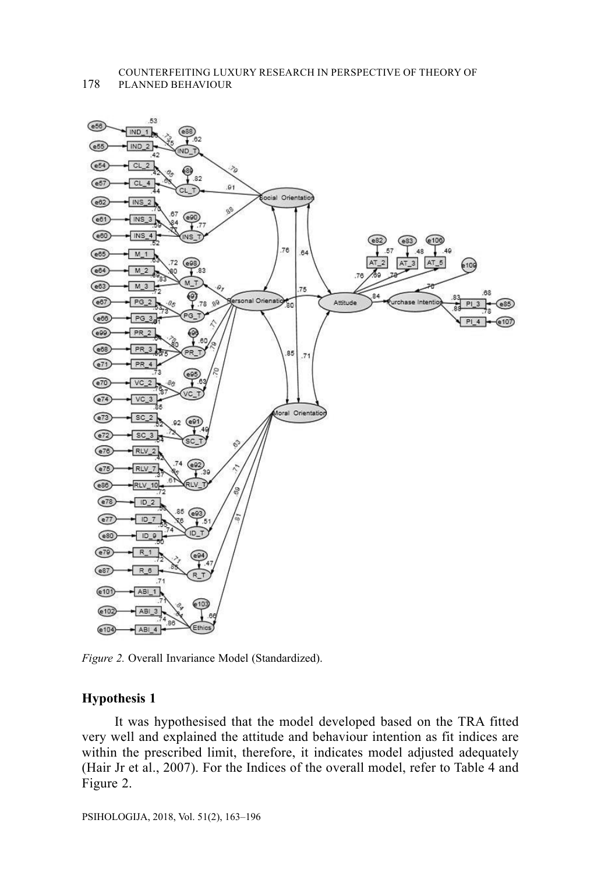178 PLANNED BEHAVIOUR



*Figure 2.* Overall Invariance Model (Standardized).

### **Hypothesis 1**

It was hypothesised that the model developed based on the TRA fitted very well and explained the attitude and behaviour intention as fit indices are within the prescribed limit, therefore, it indicates model adjusted adequately (Hair Jr et al., 2007). For the Indices of the overall model, refer to Table 4 and Figure 2.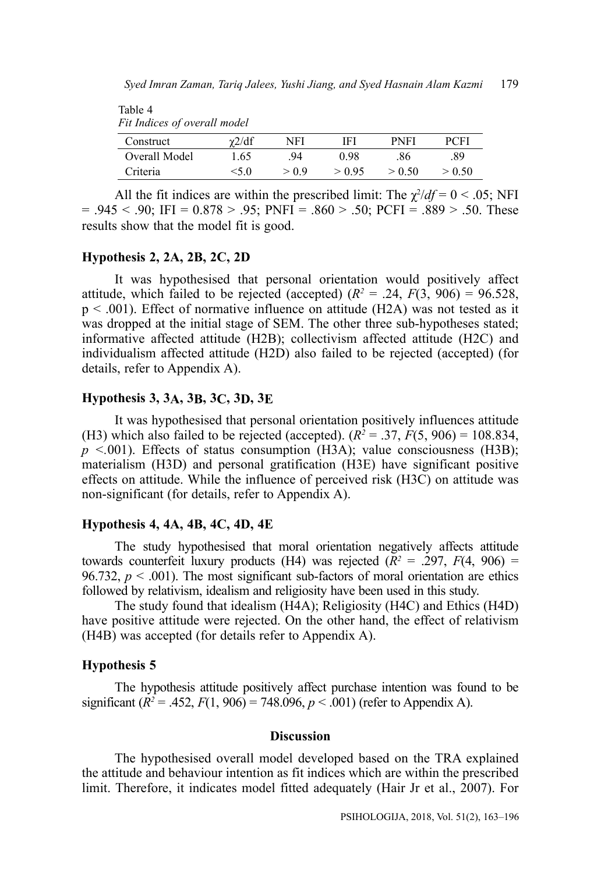| Fit Indices of overall model |               |       |        |             |        |
|------------------------------|---------------|-------|--------|-------------|--------|
| Construct                    | $\gamma$ 2/df | NFI   | IFI    | <b>PNFI</b> | PCFI   |
| Overall Model                | 1.65          | .94   | 0.98   | .86         | .89    |
| Criteria                     | $<$ 5.0       | > 0.9 | > 0.95 | > 0.50      | > 0.50 |

All the fit indices are within the prescribed limit: The  $\chi^2/df = 0 < .05$ ; NFI  $= .945 < .90$ ; IFI = 0.878 > .95; PNFI = .860 > .50; PCFI = .889 > .50. These results show that the model fit is good.

### **Hypothesis 2, 2A, 2B, 2C, 2D**

Table 4

It was hypothesised that personal orientation would positively affect attitude, which failed to be rejected (accepted)  $(R^2 = .24, F(3, 906) = 96.528,$ p < .001). Effect of normative influence on attitude (H2A) was not tested as it was dropped at the initial stage of SEM. The other three sub-hypotheses stated; informative affected attitude (H2B); collectivism affected attitude (H2C) and individualism affected attitude (H2D) also failed to be rejected (accepted) (for details, refer to Appendix A).

#### **Hypothesis 3, 3A, 3B, 3C, 3D, 3E**

It was hypothesised that personal orientation positively influences attitude (H3) which also failed to be rejected (accepted).  $(R^2 = .37, F(5, 906) = 108.834,$  $p$  <.001). Effects of status consumption (H3A); value consciousness (H3B); materialism (H3D) and personal gratification (H3E) have significant positive effects on attitude. While the influence of perceived risk (H3C) on attitude was non-significant (for details, refer to Appendix A).

#### **Hypothesis 4, 4A, 4B, 4C, 4D, 4E**

The study hypothesised that moral orientation negatively affects attitude towards counterfeit luxury products (H4) was rejected  $(R^2 = .297, F(4, 906) =$ 96.732,  $p < .001$ ). The most significant sub-factors of moral orientation are ethics followed by relativism, idealism and religiosity have been used in this study.

The study found that idealism (H4A); Religiosity (H4C) and Ethics (H4D) have positive attitude were rejected. On the other hand, the effect of relativism (H4B) was accepted (for details refer to Appendix A).

#### **Hypothesis 5**

The hypothesis attitude positively affect purchase intention was found to be significant  $(R^2 = .452, F(1, 906) = 748.096, p < .001)$  (refer to Appendix A).

#### **Discussion**

The hypothesised overall model developed based on the TRA explained the attitude and behaviour intention as fit indices which are within the prescribed limit. Therefore, it indicates model fitted adequately (Hair Jr et al., 2007). For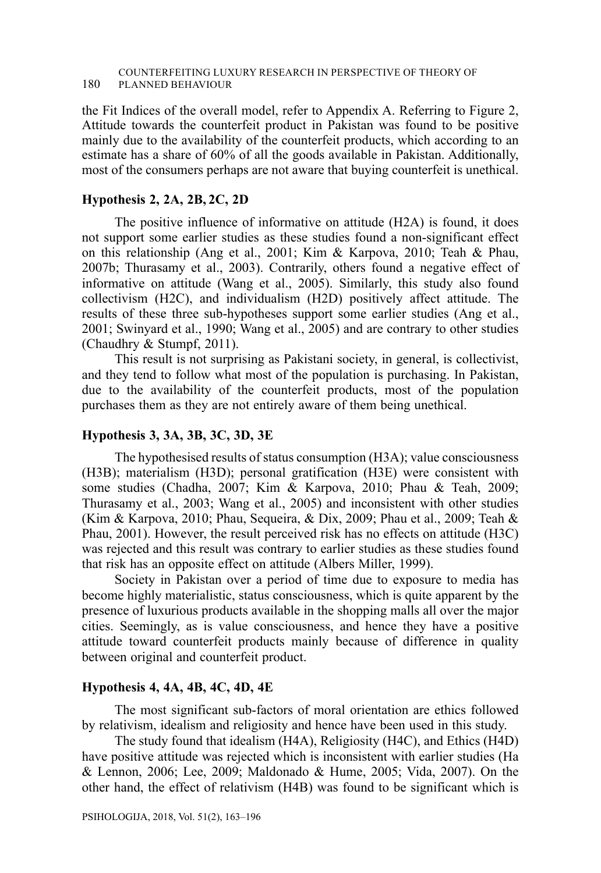the Fit Indices of the overall model, refer to Appendix A. Referring to Figure 2, Attitude towards the counterfeit product in Pakistan was found to be positive mainly due to the availability of the counterfeit products, which according to an estimate has a share of 60% of all the goods available in Pakistan. Additionally, most of the consumers perhaps are not aware that buying counterfeit is unethical.

### **Hypothesis 2, 2A, 2B, 2C, 2D**

The positive influence of informative on attitude (H2A) is found, it does not support some earlier studies as these studies found a non-significant effect on this relationship (Ang et al., 2001; Kim & Karpova, 2010; Teah & Phau, 2007b; Thurasamy et al., 2003). Contrarily, others found a negative effect of informative on attitude (Wang et al., 2005). Similarly, this study also found collectivism (H2C), and individualism (H2D) positively affect attitude. The results of these three sub-hypotheses support some earlier studies (Ang et al., 2001; Swinyard et al., 1990; Wang et al., 2005) and are contrary to other studies (Chaudhry & Stumpf, 2011).

This result is not surprising as Pakistani society, in general, is collectivist, and they tend to follow what most of the population is purchasing. In Pakistan, due to the availability of the counterfeit products, most of the population purchases them as they are not entirely aware of them being unethical.

### **Hypothesis 3, 3A, 3B, 3C, 3D, 3E**

The hypothesised results of status consumption (H3A); value consciousness (H3B); materialism (H3D); personal gratification (H3E) were consistent with some studies (Chadha, 2007; Kim & Karpova, 2010; Phau & Teah, 2009; Thurasamy et al., 2003; Wang et al., 2005) and inconsistent with other studies (Kim & Karpova, 2010; Phau, Sequeira, & Dix, 2009; Phau et al., 2009; Teah & Phau, 2001). However, the result perceived risk has no effects on attitude (H3C) was rejected and this result was contrary to earlier studies as these studies found that risk has an opposite effect on attitude (Albers Miller, 1999).

Society in Pakistan over a period of time due to exposure to media has become highly materialistic, status consciousness, which is quite apparent by the presence of luxurious products available in the shopping malls all over the major cities. Seemingly, as is value consciousness, and hence they have a positive attitude toward counterfeit products mainly because of difference in quality between original and counterfeit product.

### **Hypothesis 4, 4A, 4B, 4C, 4D, 4E**

The most significant sub-factors of moral orientation are ethics followed by relativism, idealism and religiosity and hence have been used in this study.

The study found that idealism (H4A), Religiosity (H4C), and Ethics (H4D) have positive attitude was rejected which is inconsistent with earlier studies (Ha & Lennon, 2006; Lee, 2009; Maldonado & Hume, 2005; Vida, 2007). On the other hand, the effect of relativism (H4B) was found to be significant which is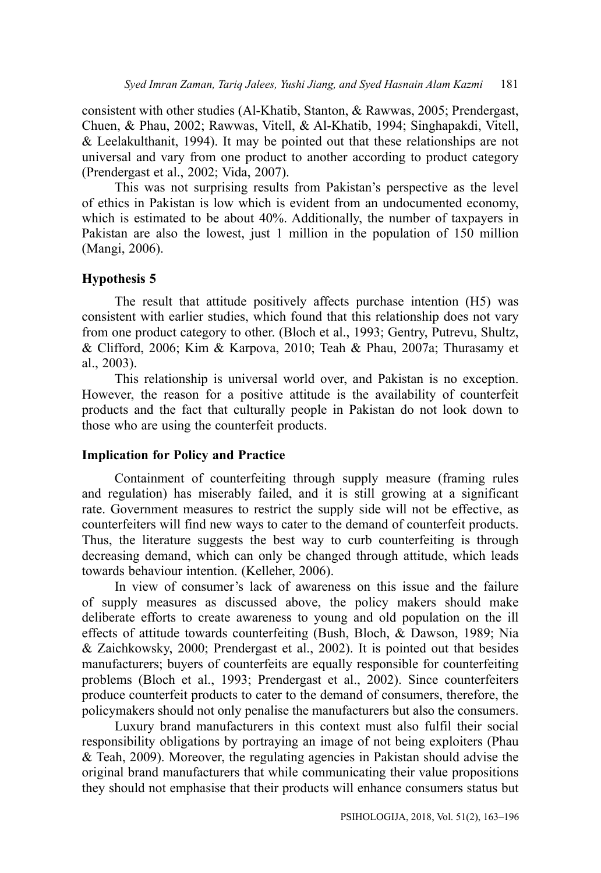consistent with other studies (Al-Khatib, Stanton, & Rawwas, 2005; Prendergast, Chuen, & Phau, 2002; Rawwas, Vitell, & Al-Khatib, 1994; Singhapakdi, Vitell, & Leelakulthanit, 1994). It may be pointed out that these relationships are not universal and vary from one product to another according to product category (Prendergast et al., 2002; Vida, 2007).

This was not surprising results from Pakistan's perspective as the level of ethics in Pakistan is low which is evident from an undocumented economy, which is estimated to be about 40%. Additionally, the number of taxpayers in Pakistan are also the lowest, just 1 million in the population of 150 million (Mangi, 2006).

### **Hypothesis 5**

The result that attitude positively affects purchase intention (H5) was consistent with earlier studies, which found that this relationship does not vary from one product category to other. (Bloch et al., 1993; Gentry, Putrevu, Shultz, & Clifford, 2006; Kim & Karpova, 2010; Teah & Phau, 2007a; Thurasamy et al., 2003).

This relationship is universal world over, and Pakistan is no exception. However, the reason for a positive attitude is the availability of counterfeit products and the fact that culturally people in Pakistan do not look down to those who are using the counterfeit products.

### **Implication for Policy and Practice**

Containment of counterfeiting through supply measure (framing rules and regulation) has miserably failed, and it is still growing at a significant rate. Government measures to restrict the supply side will not be effective, as counterfeiters will find new ways to cater to the demand of counterfeit products. Thus, the literature suggests the best way to curb counterfeiting is through decreasing demand, which can only be changed through attitude, which leads towards behaviour intention. (Kelleher, 2006).

In view of consumer's lack of awareness on this issue and the failure of supply measures as discussed above, the policy makers should make deliberate efforts to create awareness to young and old population on the ill effects of attitude towards counterfeiting (Bush, Bloch, & Dawson, 1989; Nia & Zaichkowsky, 2000; Prendergast et al., 2002). It is pointed out that besides manufacturers; buyers of counterfeits are equally responsible for counterfeiting problems (Bloch et al., 1993; Prendergast et al., 2002). Since counterfeiters produce counterfeit products to cater to the demand of consumers, therefore, the policymakers should not only penalise the manufacturers but also the consumers.

Luxury brand manufacturers in this context must also fulfil their social responsibility obligations by portraying an image of not being exploiters (Phau & Teah, 2009). Moreover, the regulating agencies in Pakistan should advise the original brand manufacturers that while communicating their value propositions they should not emphasise that their products will enhance consumers status but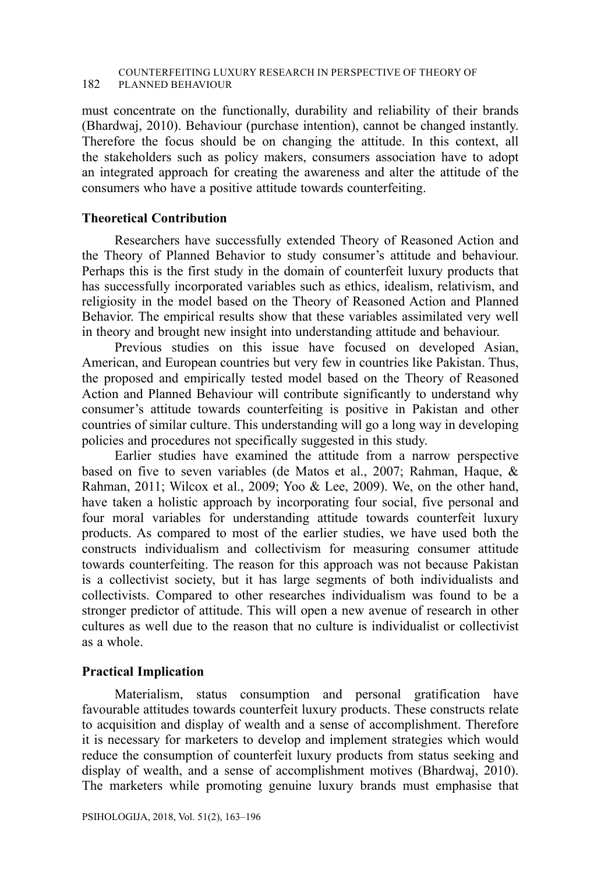#### COUNTERFEITING LUXURY RESEARCH IN PERSPECTIVE OF THEORY OF 182 PLANNED BEHAVIOUR

must concentrate on the functionally, durability and reliability of their brands (Bhardwaj, 2010). Behaviour (purchase intention), cannot be changed instantly. Therefore the focus should be on changing the attitude. In this context, all the stakeholders such as policy makers, consumers association have to adopt an integrated approach for creating the awareness and alter the attitude of the consumers who have a positive attitude towards counterfeiting.

### **Theoretical Contribution**

Researchers have successfully extended Theory of Reasoned Action and the Theory of Planned Behavior to study consumer's attitude and behaviour. Perhaps this is the first study in the domain of counterfeit luxury products that has successfully incorporated variables such as ethics, idealism, relativism, and religiosity in the model based on the Theory of Reasoned Action and Planned Behavior. The empirical results show that these variables assimilated very well in theory and brought new insight into understanding attitude and behaviour.

Previous studies on this issue have focused on developed Asian, American, and European countries but very few in countries like Pakistan. Thus, the proposed and empirically tested model based on the Theory of Reasoned Action and Planned Behaviour will contribute significantly to understand why consumer's attitude towards counterfeiting is positive in Pakistan and other countries of similar culture. This understanding will go a long way in developing policies and procedures not specifically suggested in this study.

Earlier studies have examined the attitude from a narrow perspective based on five to seven variables (de Matos et al., 2007; Rahman, Haque, & Rahman, 2011; Wilcox et al., 2009; Yoo & Lee, 2009). We, on the other hand, have taken a holistic approach by incorporating four social, five personal and four moral variables for understanding attitude towards counterfeit luxury products. As compared to most of the earlier studies, we have used both the constructs individualism and collectivism for measuring consumer attitude towards counterfeiting. The reason for this approach was not because Pakistan is a collectivist society, but it has large segments of both individualists and collectivists. Compared to other researches individualism was found to be a stronger predictor of attitude. This will open a new avenue of research in other cultures as well due to the reason that no culture is individualist or collectivist as a whole.

### **Practical Implication**

Materialism, status consumption and personal gratification have favourable attitudes towards counterfeit luxury products. These constructs relate to acquisition and display of wealth and a sense of accomplishment. Therefore it is necessary for marketers to develop and implement strategies which would reduce the consumption of counterfeit luxury products from status seeking and display of wealth, and a sense of accomplishment motives (Bhardwaj, 2010). The marketers while promoting genuine luxury brands must emphasise that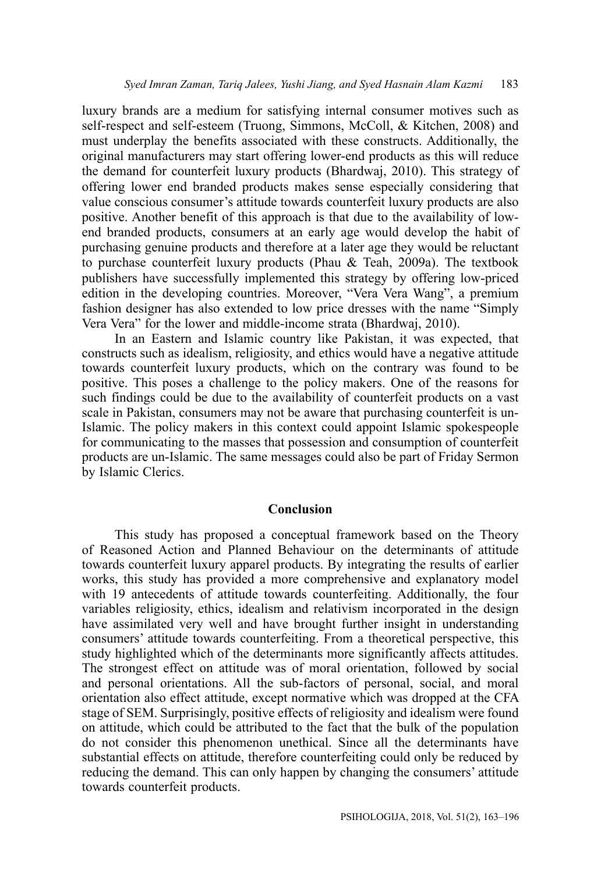luxury brands are a medium for satisfying internal consumer motives such as self-respect and self-esteem (Truong, Simmons, McColl, & Kitchen, 2008) and must underplay the benefits associated with these constructs. Additionally, the original manufacturers may start offering lower-end products as this will reduce the demand for counterfeit luxury products (Bhardwaj, 2010). This strategy of offering lower end branded products makes sense especially considering that value conscious consumer's attitude towards counterfeit luxury products are also positive. Another benefit of this approach is that due to the availability of lowend branded products, consumers at an early age would develop the habit of purchasing genuine products and therefore at a later age they would be reluctant to purchase counterfeit luxury products (Phau & Teah, 2009a). The textbook publishers have successfully implemented this strategy by offering low-priced edition in the developing countries. Moreover, "Vera Vera Wang", a premium fashion designer has also extended to low price dresses with the name "Simply Vera Vera" for the lower and middle-income strata (Bhardwaj, 2010).

In an Eastern and Islamic country like Pakistan, it was expected, that constructs such as idealism, religiosity, and ethics would have a negative attitude towards counterfeit luxury products, which on the contrary was found to be positive. This poses a challenge to the policy makers. One of the reasons for such findings could be due to the availability of counterfeit products on a vast scale in Pakistan, consumers may not be aware that purchasing counterfeit is un-Islamic. The policy makers in this context could appoint Islamic spokespeople for communicating to the masses that possession and consumption of counterfeit products are un-Islamic. The same messages could also be part of Friday Sermon by Islamic Clerics.

#### **Conclusion**

This study has proposed a conceptual framework based on the Theory of Reasoned Action and Planned Behaviour on the determinants of attitude towards counterfeit luxury apparel products. By integrating the results of earlier works, this study has provided a more comprehensive and explanatory model with 19 antecedents of attitude towards counterfeiting. Additionally, the four variables religiosity, ethics, idealism and relativism incorporated in the design have assimilated very well and have brought further insight in understanding consumers' attitude towards counterfeiting. From a theoretical perspective, this study highlighted which of the determinants more significantly affects attitudes. The strongest effect on attitude was of moral orientation, followed by social and personal orientations. All the sub-factors of personal, social, and moral orientation also effect attitude, except normative which was dropped at the CFA stage of SEM. Surprisingly, positive effects of religiosity and idealism were found on attitude, which could be attributed to the fact that the bulk of the population do not consider this phenomenon unethical. Since all the determinants have substantial effects on attitude, therefore counterfeiting could only be reduced by reducing the demand. This can only happen by changing the consumers' attitude towards counterfeit products.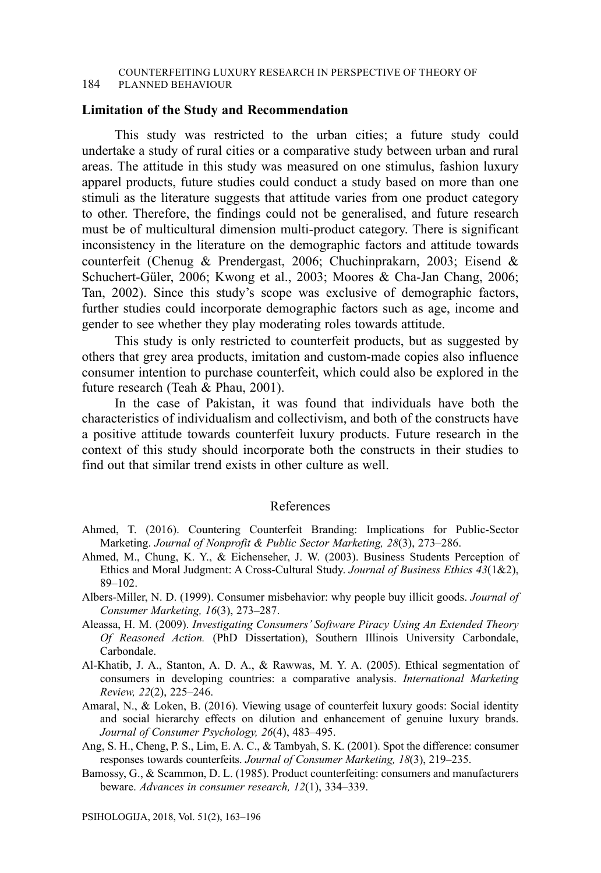#### **Limitation of the Study and Recommendation**

This study was restricted to the urban cities; a future study could undertake a study of rural cities or a comparative study between urban and rural areas. The attitude in this study was measured on one stimulus, fashion luxury apparel products, future studies could conduct a study based on more than one stimuli as the literature suggests that attitude varies from one product category to other. Therefore, the findings could not be generalised, and future research must be of multicultural dimension multi-product category. There is significant inconsistency in the literature on the demographic factors and attitude towards counterfeit (Chenug & Prendergast, 2006; Chuchinprakarn, 2003; Eisend & Schuchert-Güler, 2006; Kwong et al., 2003; Moores & Cha-Jan Chang, 2006; Tan, 2002). Since this study's scope was exclusive of demographic factors, further studies could incorporate demographic factors such as age, income and gender to see whether they play moderating roles towards attitude.

This study is only restricted to counterfeit products, but as suggested by others that grey area products, imitation and custom-made copies also influence consumer intention to purchase counterfeit, which could also be explored in the future research (Teah & Phau, 2001).

In the case of Pakistan, it was found that individuals have both the characteristics of individualism and collectivism, and both of the constructs have a positive attitude towards counterfeit luxury products. Future research in the context of this study should incorporate both the constructs in their studies to find out that similar trend exists in other culture as well.

#### References

- Ahmed, T. (2016). Countering Counterfeit Branding: Implications for Public-Sector Marketing. *Journal of Nonprofit & Public Sector Marketing, 28*(3), 273–286.
- Ahmed, M., Chung, K. Y., & Eichenseher, J. W. (2003). Business Students Perception of Ethics and Moral Judgment: A Cross-Cultural Study. *Journal of Business Ethics 43*(1&2), 89–102.
- Albers-Miller, N. D. (1999). Consumer misbehavior: why people buy illicit goods. *Journal of Consumer Marketing, 16*(3), 273–287.
- Aleassa, H. M. (2009). *Investigating Consumers' Software Piracy Using An Extended Theory Of Reasoned Action.* (PhD Dissertation), Southern Illinois University Carbondale, Carbondale.
- Al-Khatib, J. A., Stanton, A. D. A., & Rawwas, M. Y. A. (2005). Ethical segmentation of consumers in developing countries: a comparative analysis. *International Marketing Review, 22*(2), 225–246.
- Amaral, N., & Loken, B. (2016). Viewing usage of counterfeit luxury goods: Social identity and social hierarchy effects on dilution and enhancement of genuine luxury brands. *Journal of Consumer Psychology, 26*(4), 483–495.
- Ang, S. H., Cheng, P. S., Lim, E. A. C., & Tambyah, S. K. (2001). Spot the difference: consumer responses towards counterfeits. *Journal of Consumer Marketing, 18*(3), 219–235.
- Bamossy, G., & Scammon, D. L. (1985). Product counterfeiting: consumers and manufacturers beware. *Advances in consumer research, 12*(1), 334–339.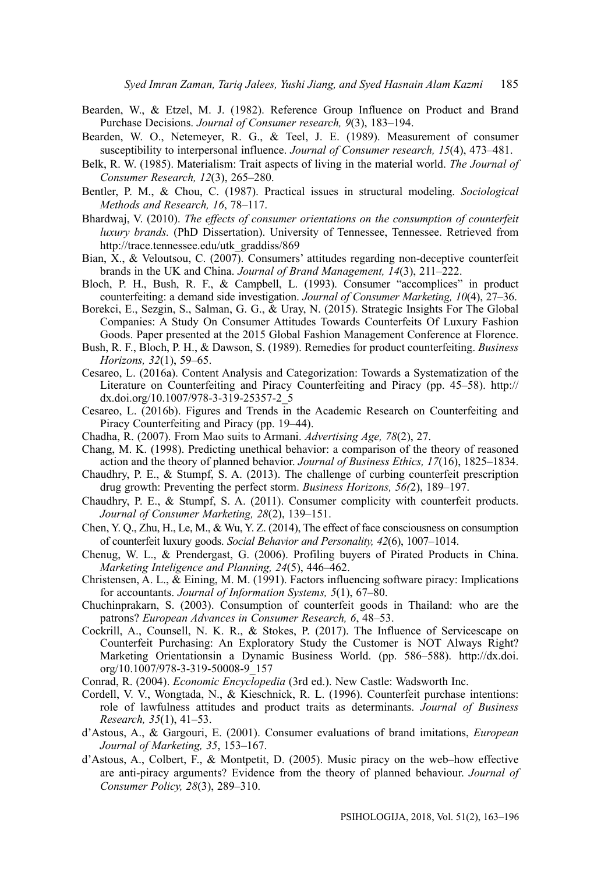- Bearden, W., & Etzel, M. J. (1982). Reference Group Influence on Product and Brand Purchase Decisions. *Journal of Consumer research, 9*(3), 183–194.
- Bearden, W. O., Netemeyer, R. G., & Teel, J. E. (1989). Measurement of consumer susceptibility to interpersonal influence. *Journal of Consumer research, 15*(4), 473–481.
- Belk, R. W. (1985). Materialism: Trait aspects of living in the material world. *The Journal of Consumer Research, 12*(3), 265–280.
- Bentler, P. M., & Chou, C. (1987). Practical issues in structural modeling. *Sociological Methods and Research, 16*, 78–117.
- Bhardwaj, V. (2010). *The effects of consumer orientations on the consumption of counterfeit luxury brands.* (PhD Dissertation). University of Tennessee, Tennessee. Retrieved from http://trace.tennessee.edu/utk\_graddiss/869
- Bian, X., & Veloutsou, C. (2007). Consumers' attitudes regarding non-deceptive counterfeit brands in the UK and China. *Journal of Brand Management, 14*(3), 211–222.
- Bloch, P. H., Bush, R. F., & Campbell, L. (1993). Consumer "accomplices" in product counterfeiting: a demand side investigation. *Journal of Consumer Marketing, 10*(4), 27–36.
- Borekci, E., Sezgin, S., Salman, G. G., & Uray, N. (2015). Strategic Insights For The Global Companies: A Study On Consumer Attitudes Towards Counterfeits Of Luxury Fashion Goods. Paper presented at the 2015 Global Fashion Management Conference at Florence.
- Bush, R. F., Bloch, P. H., & Dawson, S. (1989). Remedies for product counterfeiting. *Business Horizons, 32*(1), 59–65.
- Cesareo, L. (2016a). Content Analysis and Categorization: Towards a Systematization of the Literature on Counterfeiting and Piracy Counterfeiting and Piracy (pp. 45–58). http:// dx.doi.org/10.1007/978-3-319-25357-2\_5
- Cesareo, L. (2016b). Figures and Trends in the Academic Research on Counterfeiting and Piracy Counterfeiting and Piracy (pp. 19–44).
- Chadha, R. (2007). From Mao suits to Armani. *Advertising Age, 78*(2), 27.
- Chang, M. K. (1998). Predicting unethical behavior: a comparison of the theory of reasoned action and the theory of planned behavior. *Journal of Business Ethics, 17*(16), 1825–1834.
- Chaudhry, P. E., & Stumpf, S. A. (2013). The challenge of curbing counterfeit prescription drug growth: Preventing the perfect storm. *Business Horizons, 56(*2), 189–197.
- Chaudhry, P. E., & Stumpf, S. A. (2011). Consumer complicity with counterfeit products. *Journal of Consumer Marketing, 28*(2), 139–151.
- Chen, Y. Q., Zhu, H., Le, M., & Wu, Y. Z. (2014), The effect of face consciousness on consumption of counterfeit luxury goods. *Social Behavior and Personality, 42*(6), 1007–1014.
- Chenug, W. L., & Prendergast, G. (2006). Profiling buyers of Pirated Products in China. *Marketing Inteligence and Planning, 24*(5), 446–462.
- Christensen, A. L.,  $\&$  Eining, M. M. (1991). Factors influencing software piracy: Implications for accountants. *Journal of Information Systems, 5*(1), 67–80.
- Chuchinprakarn, S. (2003). Consumption of counterfeit goods in Thailand: who are the patrons? *European Advances in Consumer Research, 6*, 48–53.
- Cockrill, A., Counsell, N. K. R., & Stokes, P. (2017). The Influence of Servicescape on Counterfeit Purchasing: An Exploratory Study the Customer is NOT Always Right? Marketing Orientationsin a Dynamic Business World. (pp. 586–588). http://dx.doi. org/10.1007/978-3-319-50008-9\_157
- Conrad, R. (2004). *Economic Encyclopedia* (3rd ed.). New Castle: Wadsworth Inc.
- Cordell, V. V., Wongtada, N., & Kieschnick, R. L. (1996). Counterfeit purchase intentions: role of lawfulness attitudes and product traits as determinants. *Journal of Business Research, 35*(1), 41–53.
- d'Astous, A., & Gargouri, E. (2001). Consumer evaluations of brand imitations, *European Journal of Marketing, 35*, 153–167.
- d'Astous, A., Colbert, F., & Montpetit, D. (2005). Music piracy on the web–how effective are anti-piracy arguments? Evidence from the theory of planned behaviour. *Journal of Consumer Policy, 28*(3), 289–310.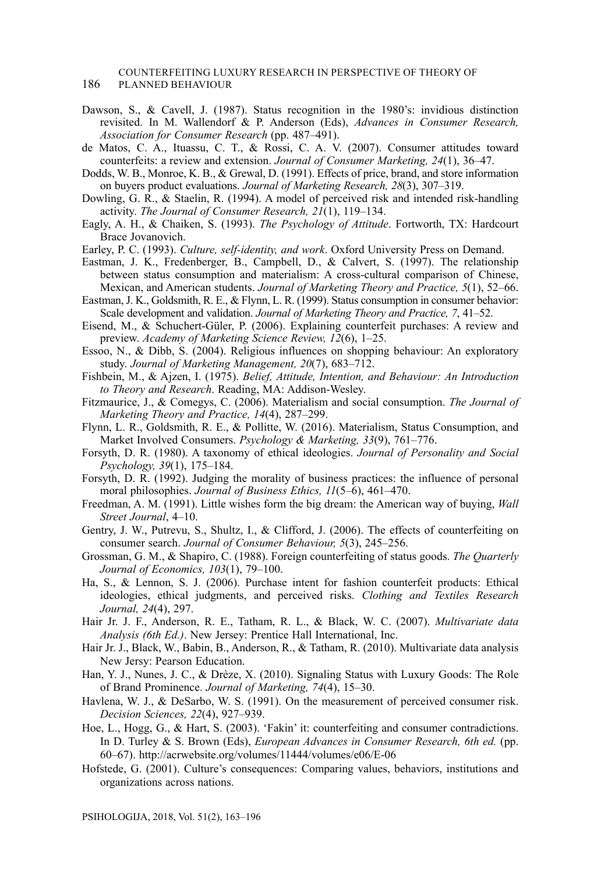### COUNTERFEITING LUXURY RESEARCH IN PERSPECTIVE OF THEORY OF

186 PLANNED BEHAVIOUR

- Dawson, S., & Cavell, J. (1987). Status recognition in the 1980's: invidious distinction revisited. In M. Wallendorf & P. Anderson (Eds), *Advances in Consumer Research, Association for Consumer Research* (pp. 487–491).
- de Matos, C. A., Ituassu, C. T., & Rossi, C. A. V. (2007). Consumer attitudes toward counterfeits: a review and extension. *Journal of Consumer Marketing, 24*(1), 36–47.
- Dodds, W. B., Monroe, K. B., & Grewal, D. (1991). Effects of price, brand, and store information on buyers product evaluations. *Journal of Marketing Research, 28*(3), 307–319.
- Dowling, G. R., & Staelin, R. (1994). A model of perceived risk and intended risk-handling activity. *The Journal of Consumer Research, 21*(1), 119–134.
- Eagly, A. H., & Chaiken, S. (1993). *The Psychology of Attitude*. Fortworth, TX: Hardcourt Brace Jovanovich.
- Earley, P. C. (1993). *Culture, self-identity, and work*. Oxford University Press on Demand.
- Eastman, J. K., Fredenberger, B., Campbell, D., & Calvert, S. (1997). The relationship between status consumption and materialism: A cross-cultural comparison of Chinese, Mexican, and American students. *Journal of Marketing Theory and Practice, 5*(1), 52–66.
- Eastman, J. K., Goldsmith, R. E., & Flynn, L. R. (1999). Status consumption in consumer behavior: Scale development and validation. *Journal of Marketing Theory and Practice, 7*, 41–52.
- Eisend, M., & Schuchert-Güler, P. (2006). Explaining counterfeit purchases: A review and preview. *Academy of Marketing Science Review, 12*(6), 1–25.
- Essoo, N., & Dibb, S. (2004). Religious influences on shopping behaviour: An exploratory study. *Journal of Marketing Management, 20*(7), 683–712.
- Fishbein, M., & Ajzen, I. (1975). *Belief, Attitude, Intention, and Behaviour: An Introduction to Theory and Research*. Reading, MA: Addison-Wesley.
- Fitzmaurice, J., & Comegys, C. (2006). Materialism and social consumption. *The Journal of Marketing Theory and Practice, 14*(4), 287–299.
- Flynn, L. R., Goldsmith, R. E., & Pollitte, W. (2016). Materialism, Status Consumption, and Market Involved Consumers. *Psychology & Marketing, 33*(9), 761–776.
- Forsyth, D. R. (1980). A taxonomy of ethical ideologies. *Journal of Personality and Social Psychology, 39*(1), 175–184.
- Forsyth, D. R. (1992). Judging the morality of business practices: the influence of personal moral philosophies. *Journal of Business Ethics, 11*(5–6), 461–470.
- Freedman, A. M. (1991). Little wishes form the big dream: the American way of buying, *Wall Street Journal*, 4–10.
- Gentry, J. W., Putrevu, S., Shultz, I., & Clifford, J. (2006). The effects of counterfeiting on consumer search. *Journal of Consumer Behaviour, 5*(3), 245–256.
- Grossman, G. M., & Shapiro, C. (1988). Foreign counterfeiting of status goods. *The Quarterly Journal of Economics, 103*(1), 79–100.
- Ha, S., & Lennon, S. J. (2006). Purchase intent for fashion counterfeit products: Ethical ideologies, ethical judgments, and perceived risks. *Clothing and Textiles Research Journal, 24*(4), 297.
- Hair Jr. J. F., Anderson, R. E., Tatham, R. L., & Black, W. C. (2007). *Multivariate data Analysis (6th Ed.)*. New Jersey: Prentice Hall International, Inc.
- Hair Jr. J., Black, W., Babin, B., Anderson, R., & Tatham, R. (2010). Multivariate data analysis New Jersy: Pearson Education.
- Han, Y. J., Nunes, J. C., & Drèze, X. (2010). Signaling Status with Luxury Goods: The Role of Brand Prominence. *Journal of Marketing, 74*(4), 15–30.
- Havlena, W. J., & DeSarbo, W. S. (1991). On the measurement of perceived consumer risk. *Decision Sciences, 22*(4), 927–939.
- Hoe, L., Hogg, G., & Hart, S. (2003). 'Fakin' it: counterfeiting and consumer contradictions. In D. Turley & S. Brown (Eds), *European Advances in Consumer Research*, 6th ed. (pp. 60–67). http://acrwebsite.org/volumes/11444/volumes/e06/E-06
- Hofstede, G. (2001). Culture's consequences: Comparing values, behaviors, institutions and organizations across nations.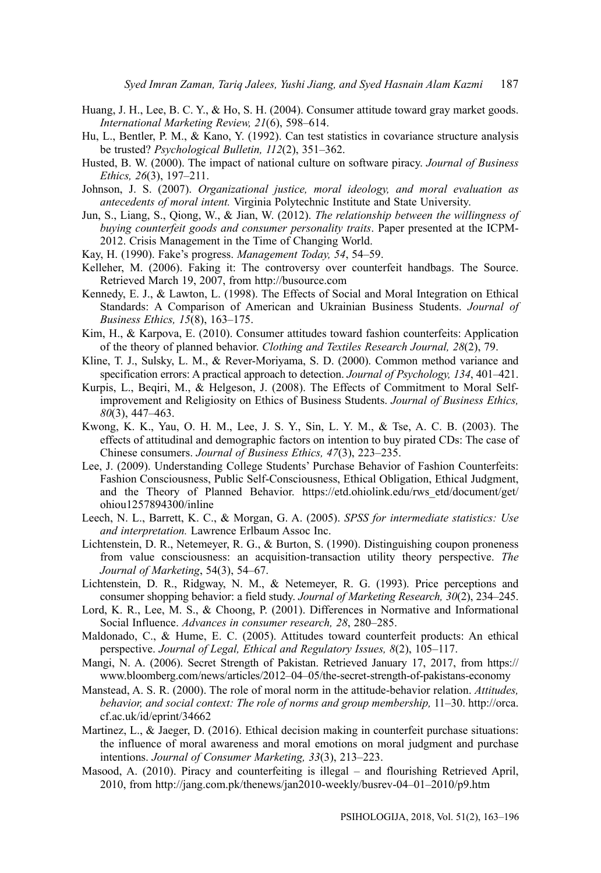- Huang, J. H., Lee, B. C. Y., & Ho, S. H. (2004). Consumer attitude toward gray market goods. *International Marketing Review, 21*(6), 598–614.
- Hu, L., Bentler, P. M., & Kano, Y. (1992). Can test statistics in covariance structure analysis be trusted? *Psychological Bulletin, 112*(2), 351–362.
- Husted, B. W. (2000). The impact of national culture on software piracy. *Journal of Business Ethics, 26*(3), 197–211.
- Johnson, J. S. (2007). *Organizational justice, moral ideology, and moral evaluation as antecedents of moral intent.* Virginia Polytechnic Institute and State University.
- Jun, S., Liang, S., Qiong, W., & Jian, W. (2012). *The relationship between the willingness of buying counterfeit goods and consumer personality traits*. Paper presented at the ICPM-2012. Crisis Management in the Time of Changing World.
- Kay, H. (1990). Fake's progress. *Management Today, 54*, 54–59.
- Kelleher, M. (2006). Faking it: The controversy over counterfeit handbags. The Source. Retrieved March 19, 2007, from http://busource.com
- Kennedy, E. J., & Lawton, L. (1998). The Effects of Social and Moral Integration on Ethical Standards: A Comparison of American and Ukrainian Business Students. *Journal of Business Ethics, 15*(8), 163–175.
- Kim, H., & Karpova, E. (2010). Consumer attitudes toward fashion counterfeits: Application of the theory of planned behavior. *Clothing and Textiles Research Journal, 28*(2), 79.
- Kline, T. J., Sulsky, L. M., & Rever-Moriyama, S. D. (2000). Common method variance and specification errors: A practical approach to detection. *Journal of Psychology, 134*, 401–421.
- Kurpis, L., Beqiri, M., & Helgeson, J. (2008). The Effects of Commitment to Moral Selfimprovement and Religiosity on Ethics of Business Students. *Journal of Business Ethics, 80*(3), 447–463.
- Kwong, K. K., Yau, O. H. M., Lee, J. S. Y., Sin, L. Y. M., & Tse, A. C. B. (2003). The effects of attitudinal and demographic factors on intention to buy pirated CDs: The case of Chinese consumers. *Journal of Business Ethics, 47*(3), 223–235.
- Lee, J. (2009). Understanding College Students' Purchase Behavior of Fashion Counterfeits: Fashion Consciousness, Public Self-Consciousness, Ethical Obligation, Ethical Judgment, and the Theory of Planned Behavior. https://etd.ohiolink.edu/rws\_etd/document/get/ ohiou1257894300/inline
- Leech, N. L., Barrett, K. C., & Morgan, G. A. (2005). *SPSS for intermediate statistics: Use and interpretation.* Lawrence Erlbaum Assoc Inc.
- Lichtenstein, D. R., Netemeyer, R. G., & Burton, S. (1990). Distinguishing coupon proneness from value consciousness: an acquisition-transaction utility theory perspective. *The Journal of Marketing*, 54(3), 54–67.
- Lichtenstein, D. R., Ridgway, N. M., & Netemeyer, R. G. (1993). Price perceptions and consumer shopping behavior: a field study. *Journal of Marketing Research, 30*(2), 234–245.
- Lord, K. R., Lee, M. S., & Choong, P. (2001). Differences in Normative and Informational Social Influence. *Advances in consumer research, 28*, 280–285.
- Maldonado, C., & Hume, E. C. (2005). Attitudes toward counterfeit products: An ethical perspective. *Journal of Legal, Ethical and Regulatory Issues, 8*(2), 105–117.
- Mangi, N. A. (2006). Secret Strength of Pakistan. Retrieved January 17, 2017, from https:// www.bloomberg.com/news/articles/2012–04–05/the-secret-strength-of-pakistans-economy
- Manstead, A. S. R. (2000). The role of moral norm in the attitude-behavior relation. *Attitudes, behavior, and social context: The role of norms and group membership,* 11–30. http://orca. cf.ac.uk/id/eprint/34662
- Martinez, L., & Jaeger, D. (2016). Ethical decision making in counterfeit purchase situations: the influence of moral awareness and moral emotions on moral judgment and purchase intentions. *Journal of Consumer Marketing, 33*(3), 213–223.
- Masood, A. (2010). Piracy and counterfeiting is illegal and flourishing Retrieved April, 2010, from http://jang.com.pk/thenews/jan2010-weekly/busrev-04–01–2010/p9.htm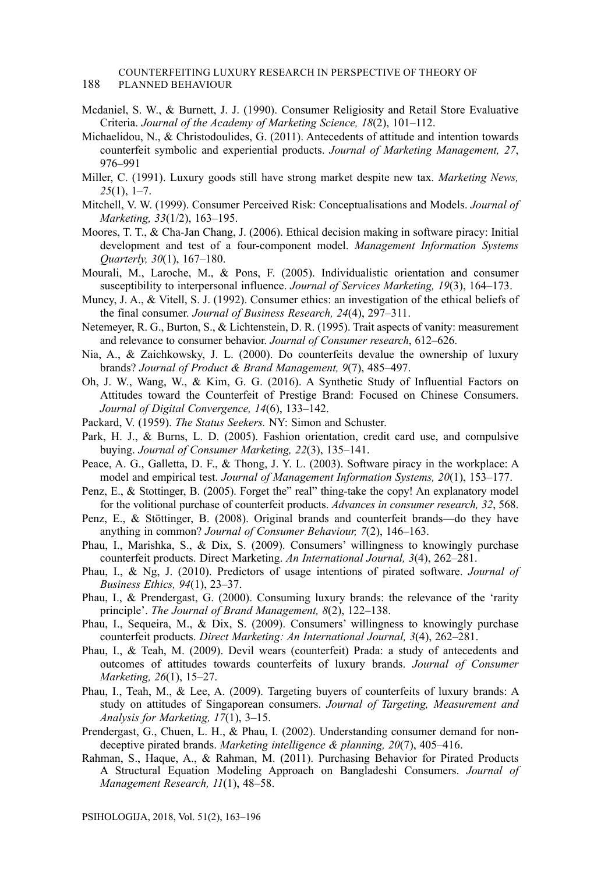#### COUNTERFEITING LUXURY RESEARCH IN PERSPECTIVE OF THEORY OF 188 PLANNED BEHAVIOUR

- Mcdaniel, S. W., & Burnett, J. J. (1990). Consumer Religiosity and Retail Store Evaluative Criteria. *Journal of the Academy of Marketing Science, 18*(2), 101–112.
- Michaelidou, N., & Christodoulides, G. (2011). Antecedents of attitude and intention towards counterfeit symbolic and experiential products. *Journal of Marketing Management, 27*, 976–991
- Miller, C. (1991). Luxury goods still have strong market despite new tax. *Marketing News, 25*(1), 1–7.
- Mitchell, V. W. (1999). Consumer Perceived Risk: Conceptualisations and Models. *Journal of Marketing, 33*(1/2), 163–195.
- Moores, T. T., & Cha-Jan Chang, J. (2006). Ethical decision making in software piracy: Initial development and test of a four-component model. *Management Information Systems Quarterly, 30*(1), 167–180.
- Mourali, M., Laroche, M., & Pons, F. (2005). Individualistic orientation and consumer susceptibility to interpersonal influence. *Journal of Services Marketing, 19*(3), 164–173.
- Muncy, J. A., & Vitell, S. J. (1992). Consumer ethics: an investigation of the ethical beliefs of the final consumer. *Journal of Business Research, 24*(4), 297–311.
- Netemeyer, R. G., Burton, S., & Lichtenstein, D. R. (1995). Trait aspects of vanity: measurement and relevance to consumer behavior. *Journal of Consumer research*, 612–626.
- Nia, A., & Zaichkowsky, J. L. (2000). Do counterfeits devalue the ownership of luxury brands? *Journal of Product & Brand Management, 9*(7), 485–497.
- Oh, J. W., Wang, W., & Kim, G. G. (2016). A Synthetic Study of Influential Factors on Attitudes toward the Counterfeit of Prestige Brand: Focused on Chinese Consumers. *Journal of Digital Convergence, 14*(6), 133–142.
- Packard, V. (1959). *The Status Seekers.* NY: Simon and Schuster.
- Park, H. J., & Burns, L. D. (2005). Fashion orientation, credit card use, and compulsive buying. *Journal of Consumer Marketing, 22*(3), 135–141.
- Peace, A. G., Galletta, D. F., & Thong, J. Y. L. (2003). Software piracy in the workplace: A model and empirical test. *Journal of Management Information Systems, 20*(1), 153–177.
- Penz, E., & Stottinger, B. (2005). Forget the" real" thing-take the copy! An explanatory model for the volitional purchase of counterfeit products. *Advances in consumer research, 32*, 568.
- Penz, E., & Stöttinger, B. (2008). Original brands and counterfeit brands—do they have anything in common? *Journal of Consumer Behaviour, 7*(2), 146–163.
- Phau, I., Marishka, S., & Dix, S. (2009). Consumers' willingness to knowingly purchase counterfeit products. Direct Marketing. *An International Journal, 3*(4), 262–281.
- Phau, I., & Ng, J. (2010). Predictors of usage intentions of pirated software. *Journal of Business Ethics, 94*(1), 23–37.
- Phau, I., & Prendergast, G. (2000). Consuming luxury brands: the relevance of the 'rarity principle'. *The Journal of Brand Management, 8*(2), 122–138.
- Phau, I., Sequeira, M., & Dix, S. (2009). Consumers' willingness to knowingly purchase counterfeit products. *Direct Marketing: An International Journal, 3*(4), 262–281.
- Phau, I., & Teah, M. (2009). Devil wears (counterfeit) Prada: a study of antecedents and outcomes of attitudes towards counterfeits of luxury brands. *Journal of Consumer Marketing, 26*(1), 15–27.
- Phau, I., Teah, M., & Lee, A. (2009). Targeting buyers of counterfeits of luxury brands: A study on attitudes of Singaporean consumers. *Journal of Targeting, Measurement and Analysis for Marketing, 17*(1), 3–15.
- Prendergast, G., Chuen, L. H., & Phau, I. (2002). Understanding consumer demand for nondeceptive pirated brands. *Marketing intelligence & planning, 20*(7), 405–416.
- Rahman, S., Haque, A., & Rahman, M. (2011). Purchasing Behavior for Pirated Products A Structural Equation Modeling Approach on Bangladeshi Consumers. *Journal of Management Research, 11*(1), 48–58.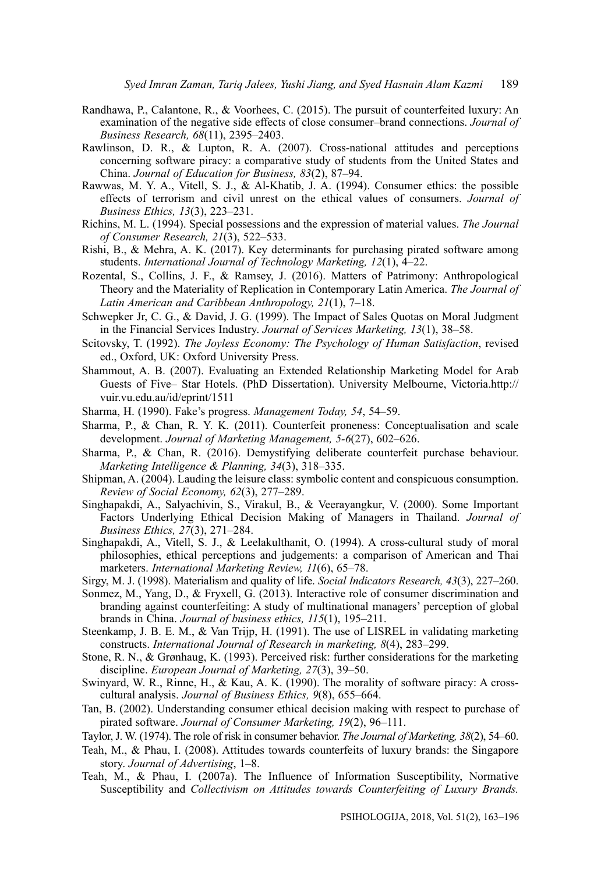- Randhawa, P., Calantone, R., & Voorhees, C. (2015). The pursuit of counterfeited luxury: An examination of the negative side effects of close consumer–brand connections. *Journal of Business Research, 68*(11), 2395–2403.
- Rawlinson, D. R., & Lupton, R. A. (2007). Cross-national attitudes and perceptions concerning software piracy: a comparative study of students from the United States and China. *Journal of Education for Business, 83*(2), 87–94.
- Rawwas, M. Y. A., Vitell, S. J., & Al-Khatib, J. A. (1994). Consumer ethics: the possible effects of terrorism and civil unrest on the ethical values of consumers. *Journal of Business Ethics, 13*(3), 223–231.
- Richins, M. L. (1994). Special possessions and the expression of material values. *The Journal of Consumer Research, 21*(3), 522–533.
- Rishi, B., & Mehra, A. K. (2017). Key determinants for purchasing pirated software among students. *International Journal of Technology Marketing, 12*(1), 4–22.
- Rozental, S., Collins, J. F., & Ramsey, J. (2016). Matters of Patrimony: Anthropological Theory and the Materiality of Replication in Contemporary Latin America. *The Journal of Latin American and Caribbean Anthropology, 21*(1), 7–18.
- Schwepker Jr, C. G., & David, J. G. (1999). The Impact of Sales Quotas on Moral Judgment in the Financial Services Industry. *Journal of Services Marketing, 13*(1), 38–58.
- Scitovsky, T. (1992). *The Joyless Economy: The Psychology of Human Satisfaction*, revised ed., Oxford, UK: Oxford University Press.
- Shammout, A. B. (2007). Evaluating an Extended Relationship Marketing Model for Arab Guests of Five– Star Hotels. (PhD Dissertation). University Melbourne, Victoria.http:// vuir.vu.edu.au/id/eprint/1511
- Sharma, H. (1990). Fake's progress. *Management Today, 54*, 54–59.
- Sharma, P., & Chan, R. Y. K. (2011). Counterfeit proneness: Conceptualisation and scale development. *Journal of Marketing Management, 5-6*(27), 602–626.
- Sharma, P., & Chan, R. (2016). Demystifying deliberate counterfeit purchase behaviour. *Marketing Intelligence & Planning, 34*(3), 318–335.
- Shipman, A. (2004). Lauding the leisure class: symbolic content and conspicuous consumption. *Review of Social Economy, 62*(3), 277–289.
- Singhapakdi, A., Salyachivin, S., Virakul, B., & Veerayangkur, V. (2000). Some Important Factors Underlying Ethical Decision Making of Managers in Thailand. *Journal of Business Ethics, 27*(3), 271–284.

Singhapakdi, A., Vitell, S. J., & Leelakulthanit, O. (1994). A cross-cultural study of moral philosophies, ethical perceptions and judgements: a comparison of American and Thai marketers. *International Marketing Review, 11*(6), 65–78.

- Sirgy, M. J. (1998). Materialism and quality of life. *Social Indicators Research, 43*(3), 227–260.
- Sonmez, M., Yang, D., & Fryxell, G. (2013). Interactive role of consumer discrimination and branding against counterfeiting: A study of multinational managers' perception of global brands in China. *Journal of business ethics, 115*(1), 195–211.
- Steenkamp, J. B. E. M., & Van Trijp, H. (1991). The use of LISREL in validating marketing constructs. *International Journal of Research in marketing, 8*(4), 283–299.
- Stone, R. N., & Grønhaug, K. (1993). Perceived risk: further considerations for the marketing discipline. *European Journal of Marketing, 27*(3), 39–50.
- Swinyard, W. R., Rinne, H., & Kau, A. K. (1990). The morality of software piracy: A crosscultural analysis. *Journal of Business Ethics, 9*(8), 655–664.
- Tan, B. (2002). Understanding consumer ethical decision making with respect to purchase of pirated software. *Journal of Consumer Marketing, 19*(2), 96–111.
- Taylor, J. W. (1974). The role of risk in consumer behavior. *The Journal of Marketing, 38*(2), 54–60.
- Teah, M., & Phau, I. (2008). Attitudes towards counterfeits of luxury brands: the Singapore story. *Journal of Advertising*, 1–8.
- Teah, M., & Phau, I. (2007a). The Influence of Information Susceptibility, Normative Susceptibility and *Collectivism on Attitudes towards Counterfeiting of Luxury Brands.*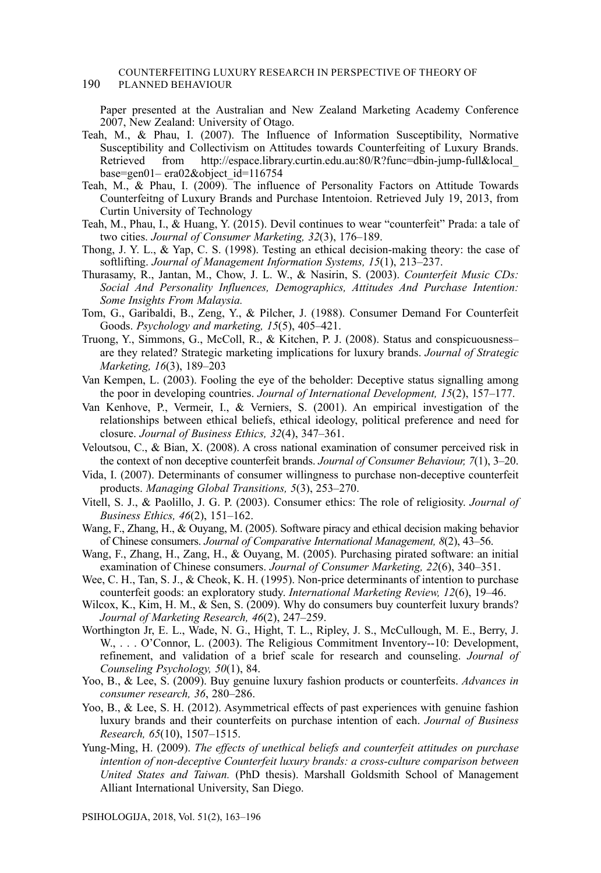#### COUNTERFEITING LUXURY RESEARCH IN PERSPECTIVE OF THEORY OF 190 PLANNED BEHAVIOUR

Paper presented at the Australian and New Zealand Marketing Academy Conference 2007, New Zealand: University of Otago.

- Teah, M., & Phau, I. (2007). The Influence of Information Susceptibility, Normative Susceptibility and Collectivism on Attitudes towards Counterfeiting of Luxury Brands. Retrieved from http://espace.library.curtin.edu.au:80/R?func=dbin-jump-full&local\_ base=gen01– era02&object\_id=116754
- Teah, M., & Phau, I. (2009). The influence of Personality Factors on Attitude Towards Counterfeitng of Luxury Brands and Purchase Intentoion. Retrieved July 19, 2013, from Curtin University of Technology
- Teah, M., Phau, I., & Huang, Y. (2015). Devil continues to wear "counterfeit" Prada: a tale of two cities. *Journal of Consumer Marketing, 32*(3), 176–189.
- Thong, J. Y. L., & Yap, C. S. (1998). Testing an ethical decision-making theory: the case of softlifting. *Journal of Management Information Systems, 15*(1), 213–237.
- Thurasamy, R., Jantan, M., Chow, J. L. W., & Nasirin, S. (2003). *Counterfeit Music CDs: Social And Personality Influences, Demographics, Attitudes And Purchase Intention: Some Insights From Malaysia.*
- Tom, G., Garibaldi, B., Zeng, Y., & Pilcher, J. (1988). Consumer Demand For Counterfeit Goods. *Psychology and marketing, 15*(5), 405–421.
- Truong, Y., Simmons, G., McColl, R., & Kitchen, P. J. (2008). Status and conspicuousness– are they related? Strategic marketing implications for luxury brands. *Journal of Strategic Marketing, 16*(3), 189–203
- Van Kempen, L. (2003). Fooling the eye of the beholder: Deceptive status signalling among the poor in developing countries. *Journal of International Development, 15*(2), 157–177.
- Van Kenhove, P., Vermeir, I., & Verniers, S. (2001). An empirical investigation of the relationships between ethical beliefs, ethical ideology, political preference and need for closure. *Journal of Business Ethics, 32*(4), 347–361.
- Veloutsou, C., & Bian, X. (2008). A cross national examination of consumer perceived risk in the context of non deceptive counterfeit brands. *Journal of Consumer Behaviour, 7*(1), 3–20.
- Vida, I. (2007). Determinants of consumer willingness to purchase non-deceptive counterfeit products. *Managing Global Transitions, 5*(3), 253–270.
- Vitell, S. J., & Paolillo, J. G. P. (2003). Consumer ethics: The role of religiosity. *Journal of Business Ethics, 46*(2), 151–162.
- Wang, F., Zhang, H., & Ouyang, M. (2005). Software piracy and ethical decision making behavior of Chinese consumers. *Journal of Comparative International Management, 8*(2), 43–56.
- Wang, F., Zhang, H., Zang, H., & Ouyang, M. (2005). Purchasing pirated software: an initial examination of Chinese consumers. *Journal of Consumer Marketing, 22*(6), 340–351.
- Wee, C. H., Tan, S. J., & Cheok, K. H. (1995). Non-price determinants of intention to purchase counterfeit goods: an exploratory study. *International Marketing Review, 12*(6), 19–46.
- Wilcox, K., Kim, H. M., & Sen, S. (2009). Why do consumers buy counterfeit luxury brands? *Journal of Marketing Research, 46*(2), 247–259.
- Worthington Jr, E. L., Wade, N. G., Hight, T. L., Ripley, J. S., McCullough, M. E., Berry, J. W.,  $\ldots$  O'Connor, L. (2003). The Religious Commitment Inventory--10: Development, refinement, and validation of a brief scale for research and counseling. *Journal of Counseling Psychology, 50*(1), 84.
- Yoo, B., & Lee, S. (2009). Buy genuine luxury fashion products or counterfeits. *Advances in consumer research, 36*, 280–286.
- Yoo, B., & Lee, S. H. (2012). Asymmetrical effects of past experiences with genuine fashion luxury brands and their counterfeits on purchase intention of each. *Journal of Business Research, 65*(10), 1507–1515.
- Yung-Ming, H. (2009). *The effects of unethical beliefs and counterfeit attitudes on purchase intention of non-deceptive Counterfeit luxury brands: a cross-culture comparison between United States and Taiwan.* (PhD thesis). Marshall Goldsmith School of Management Alliant International University, San Diego.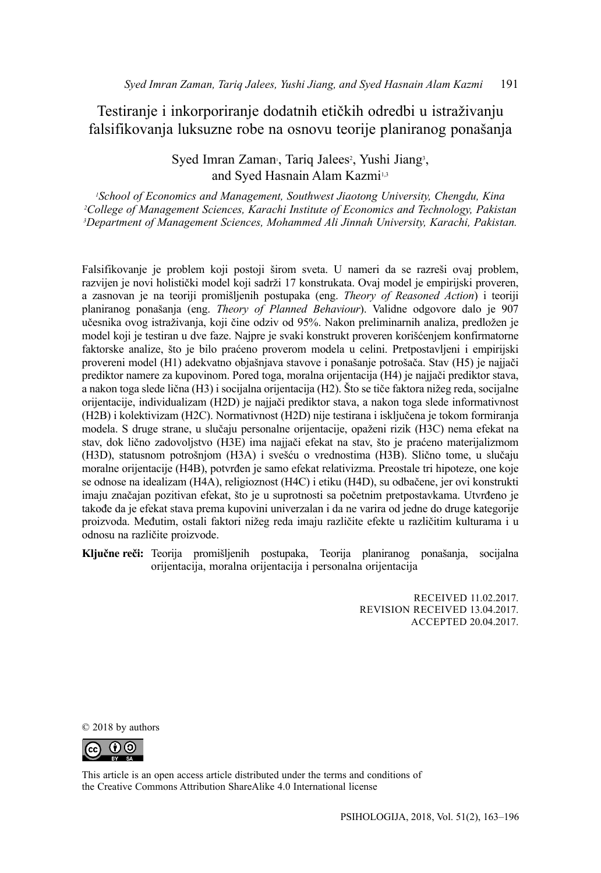Testiranje i inkorporiranje dodatnih etičkih odredbi u istraživanju falsifikovanja luksuzne robe na osnovu teorije planiranog ponašanja

> Syed Imran Zaman<sup>,</sup> Tariq Jalees<sup>2</sup>, Yushi Jiang<sup>3</sup>, and Syed Hasnain Alam Kazmi<sup>1,3</sup>

*1 School of Economics and Management, Southwest Jiaotong University, Chengdu, Kina 2 College of Management Sciences, Karachi Institute of Economics and Technology, Pakistan 3 Department of Management Sciences, Mohammed Ali Jinnah University, Karachi, Pakistan.*

Falsifikovanje je problem koji postoji širom sveta. U nameri da se razreši ovaj problem, razvijen je novi holistički model koji sadrži 17 konstrukata. Ovaj model je empirijski proveren, a zasnovan je na teoriji promišljenih postupaka (eng. *Theory of Reasoned Action*) i teoriji planiranog ponašanja (eng. *Theory of Planned Behaviour*). Validne odgovore dalo je 907 učesnika ovog istraživanja, koji čine odziv od 95%. Nakon preliminarnih analiza, predložen je model koji je testiran u dve faze. Najpre je svaki konstrukt proveren korišćenjem konfirmatorne faktorske analize, što je bilo praćeno proverom modela u celini. Pretpostavljeni i empirijski provereni model (H1) adekvatno objašnjava stavove i ponašanje potrošača. Stav (H5) je najjači prediktor namere za kupovinom. Pored toga, moralna orijentacija (H4) je najjači prediktor stava, a nakon toga slede lična (H3) i socijalna orijentacija (H2). Što se tiče faktora nižeg reda, socijalne orijentacije, individualizam (H2D) je najjači prediktor stava, a nakon toga slede informativnost (H2B) i kolektivizam (H2C). Normativnost (H2D) nije testirana i isključena je tokom formiranja modela. S druge strane, u slučaju personalne orijentacije, opaženi rizik (H3C) nema efekat na stav, dok lično zadovoljstvo (H3E) ima najjači efekat na stav, što je praćeno materijalizmom (H3D), statusnom potrošnjom (H3A) i svešću o vrednostima (H3B). Slično tome, u slučaju moralne orijentacije (H4B), potvrđen je samo efekat relativizma. Preostale tri hipoteze, one koje se odnose na idealizam (H4A), religioznost (H4C) i etiku (H4D), su odbačene, jer ovi konstrukti imaju značajan pozitivan efekat, što je u suprotnosti sa početnim pretpostavkama. Utvrđeno je takođe da je efekat stava prema kupovini univerzalan i da ne varira od jedne do druge kategorije proizvoda. Međutim, ostali faktori nižeg reda imaju različite efekte u različitim kulturama i u odnosu na različite proizvode.

**Ključne reči:** Teorija promišljenih postupaka, Teorija planiranog ponašanja, socijalna orijentacija, moralna orijentacija i personalna orijentacija

> RECEIVED 11.02.2017. REVISION RECEIVED 13.04.2017. ACCEPTED 20.04.2017.

© 2018 by authors



This article is an open access article distributed under the terms and conditions of [the Creative Commons Attribution ShareAlike 4.0 International license](https://creativecommons.org/licenses/by-sa/4.0/)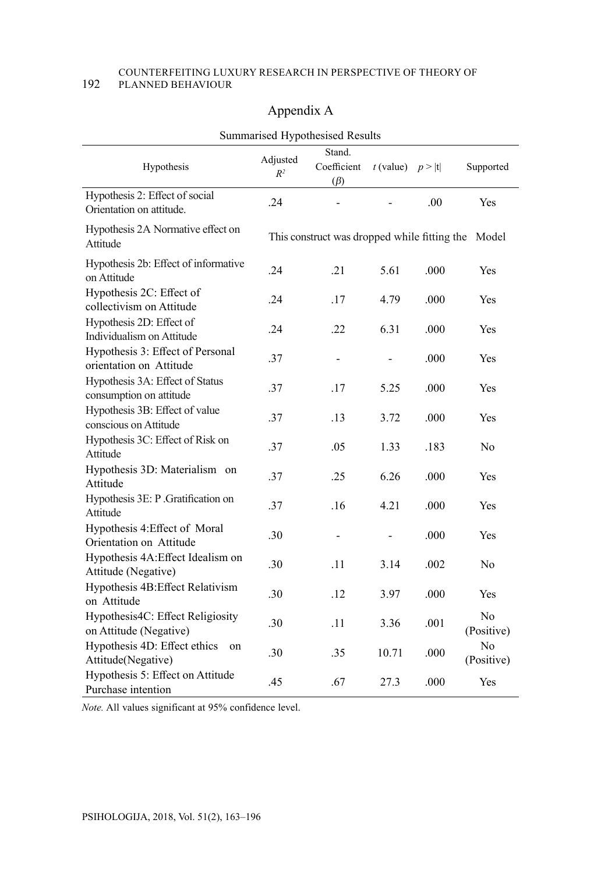#### COUNTERFEITING LUXURY RESEARCH IN PERSPECTIVE OF THEORY OF 192 PLANNED BEHAVIOUR

# Appendix A

|                                                             |                   | Summarised Hypothesised Results              |                       |      |                  |
|-------------------------------------------------------------|-------------------|----------------------------------------------|-----------------------|------|------------------|
| Hypothesis                                                  | Adjusted<br>$R^2$ | Stand.<br>Coefficient<br>$(\beta)$           | $t$ (value) $p >  t $ |      | Supported        |
| Hypothesis 2: Effect of social<br>Orientation on attitude.  | .24               |                                              |                       | .00  | Yes              |
| Hypothesis 2A Normative effect on<br>Attitude               |                   | This construct was dropped while fitting the |                       |      | Model            |
| Hypothesis 2b: Effect of informative<br>on Attitude         | .24               | .21                                          | 5.61                  | .000 | Yes              |
| Hypothesis 2C: Effect of<br>collectivism on Attitude        | .24               | .17                                          | 4.79                  | .000 | Yes              |
| Hypothesis 2D: Effect of<br>Individualism on Attitude       | .24               | .22                                          | 6.31                  | .000 | Yes              |
| Hypothesis 3: Effect of Personal<br>orientation on Attitude | .37               | -                                            |                       | .000 | Yes              |
| Hypothesis 3A: Effect of Status<br>consumption on attitude  | .37               | .17                                          | 5.25                  | .000 | Yes              |
| Hypothesis 3B: Effect of value<br>conscious on Attitude     | .37               | .13                                          | 3.72                  | .000 | Yes              |
| Hypothesis 3C: Effect of Risk on<br>Attitude                | .37               | .05                                          | 1.33                  | .183 | No               |
| Hypothesis 3D: Materialism on<br>Attitude                   | .37               | .25                                          | 6.26                  | .000 | Yes              |
| Hypothesis 3E: P. Gratification on<br>Attitude              | .37               | .16                                          | 4.21                  | .000 | Yes              |
| Hypothesis 4: Effect of Moral<br>Orientation on Attitude    | .30               | -                                            | -                     | .000 | Yes              |
| Hypothesis 4A: Effect Idealism on<br>Attitude (Negative)    | .30               | .11                                          | 3.14                  | .002 | No               |
| Hypothesis 4B: Effect Relativism<br>on Attitude             | .30               | .12                                          | 3.97                  | .000 | Yes              |
| Hypothesis4C: Effect Religiosity<br>on Attitude (Negative)  | .30               | .11                                          | 3.36                  | .001 | No<br>(Positive) |
| Hypothesis 4D: Effect ethics<br>on<br>Attitude(Negative)    | .30               | .35                                          | 10.71                 | .000 | No<br>(Positive) |
| Hypothesis 5: Effect on Attitude<br>Purchase intention      | .45               | .67                                          | 27.3                  | .000 | Yes              |

Summarised Hypothesised Results

*Note.* All values significant at 95% confidence level.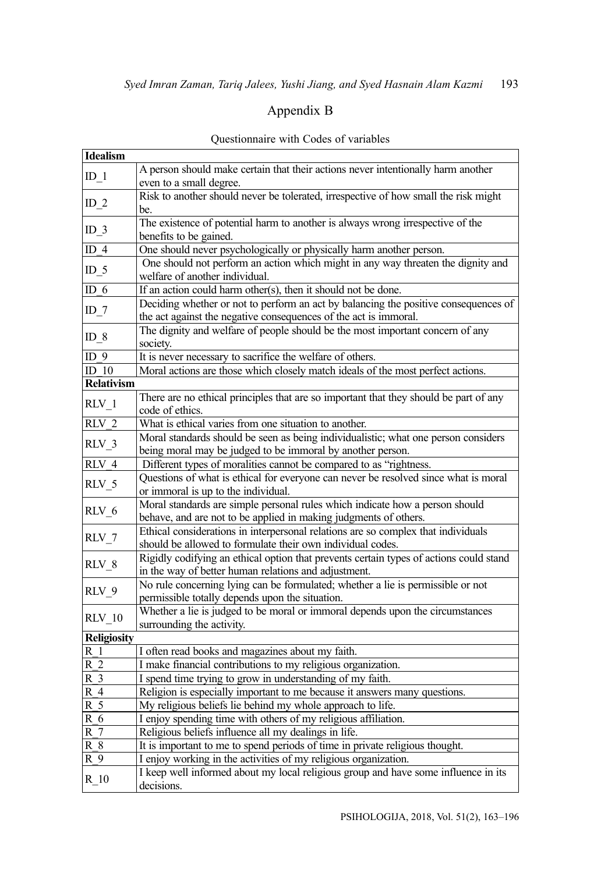# Appendix B

| <b>Idealism</b>    |                                                                                        |
|--------------------|----------------------------------------------------------------------------------------|
|                    | A person should make certain that their actions never intentionally harm another       |
| $ID_1$             | even to a small degree.                                                                |
| $ID_2$             | Risk to another should never be tolerated, irrespective of how small the risk might    |
|                    | be.                                                                                    |
|                    | The existence of potential harm to another is always wrong irrespective of the         |
| $ID_3$             | benefits to be gained.                                                                 |
| ID $4$             | One should never psychologically or physically harm another person.                    |
|                    | One should not perform an action which might in any way threaten the dignity and       |
| $ID_5$             | welfare of another individual.                                                         |
| ID $6$             | If an action could harm other(s), then it should not be done.                          |
|                    | Deciding whether or not to perform an act by balancing the positive consequences of    |
| ID_7               | the act against the negative consequences of the act is immoral.                       |
|                    | The dignity and welfare of people should be the most important concern of any          |
| ID $8$             | society.                                                                               |
| ID $9$             | It is never necessary to sacrifice the welfare of others.                              |
| ID <sub>10</sub>   | Moral actions are those which closely match ideals of the most perfect actions.        |
| <b>Relativism</b>  |                                                                                        |
|                    | There are no ethical principles that are so important that they should be part of any  |
| $RLV_1$            | code of ethics.                                                                        |
| $RLV$ 2            | What is ethical varies from one situation to another.                                  |
| RLV 3              | Moral standards should be seen as being individualistic; what one person considers     |
|                    | being moral may be judged to be immoral by another person.                             |
| $RLV$ 4            | Different types of moralities cannot be compared to as "rightness.                     |
|                    | Questions of what is ethical for everyone can never be resolved since what is moral    |
| RLV 5              | or immoral is up to the individual.                                                    |
| $RLV_6$            | Moral standards are simple personal rules which indicate how a person should           |
|                    | behave, and are not to be applied in making judgments of others.                       |
| RLV 7              | Ethical considerations in interpersonal relations are so complex that individuals      |
|                    | should be allowed to formulate their own individual codes.                             |
| $RLV_8$            | Rigidly codifying an ethical option that prevents certain types of actions could stand |
|                    | in the way of better human relations and adjustment.                                   |
| RLV 9              | No rule concerning lying can be formulated; whether a lie is permissible or not        |
|                    | permissible totally depends upon the situation.                                        |
| <b>RLV 10</b>      | Whether a lie is judged to be moral or immoral depends upon the circumstances          |
|                    | surrounding the activity.                                                              |
| <b>Religiosity</b> |                                                                                        |
| R <sub>1</sub>     | I often read books and magazines about my faith.                                       |
| $\overline{R}$ 2   | I make financial contributions to my religious organization.                           |
| $\overline{R}$ 3   | I spend time trying to grow in understanding of my faith.                              |
| R 4                | Religion is especially important to me because it answers many questions.              |
| R <sub>5</sub>     | My religious beliefs lie behind my whole approach to life.                             |
| R 6                | I enjoy spending time with others of my religious affiliation.                         |
| R <sub>7</sub>     | Religious beliefs influence all my dealings in life.                                   |
| $R_8$              | It is important to me to spend periods of time in private religious thought.           |
| $R$ 9              | I enjoy working in the activities of my religious organization.                        |
| $R_{10}$           | I keep well informed about my local religious group and have some influence in its     |
|                    | decisions.                                                                             |

### Questionnaire with Codes of variables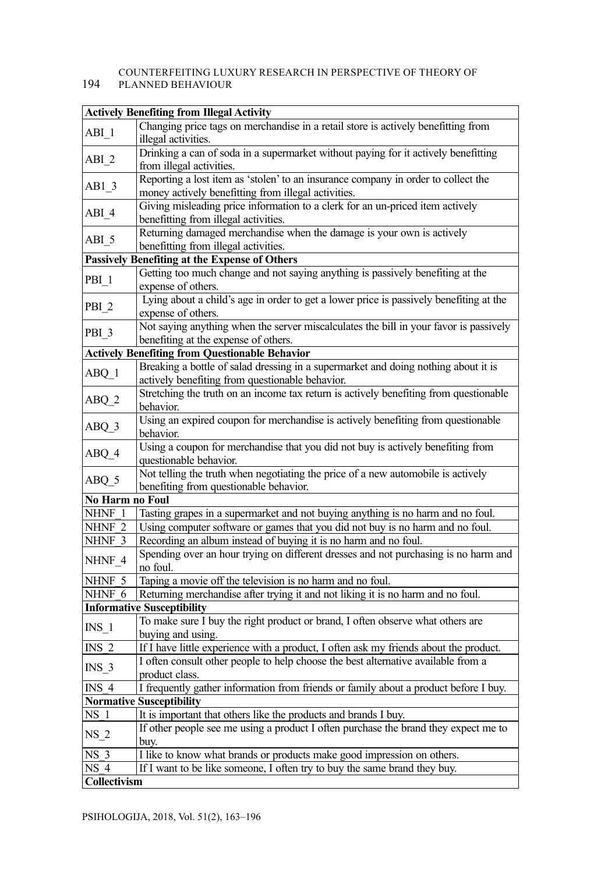# COUNTERFEITING LUXURY RESEARCH IN PERSPECTIVE OF THEORY OF

# 194 PLANNED BEHAVIOUR

|                                                                                           | <b>Actively Benefiting from Illegal Activity</b>                                                               |  |  |  |
|-------------------------------------------------------------------------------------------|----------------------------------------------------------------------------------------------------------------|--|--|--|
| ABI 1                                                                                     | Changing price tags on merchandise in a retail store is actively benefitting from                              |  |  |  |
|                                                                                           | illegal activities.                                                                                            |  |  |  |
| $ABI_2$                                                                                   | Drinking a can of soda in a supermarket without paying for it actively benefitting<br>from illegal activities. |  |  |  |
|                                                                                           | Reporting a lost item as 'stolen' to an insurance company in order to collect the                              |  |  |  |
| $AB1_3$                                                                                   | money actively benefitting from illegal activities.                                                            |  |  |  |
|                                                                                           | Giving misleading price information to a clerk for an un-priced item actively                                  |  |  |  |
| ABI 4                                                                                     | benefitting from illegal activities.                                                                           |  |  |  |
|                                                                                           | Returning damaged merchandise when the damage is your own is actively                                          |  |  |  |
| $ABI_5$                                                                                   | benefitting from illegal activities.                                                                           |  |  |  |
|                                                                                           | Passively Benefiting at the Expense of Others                                                                  |  |  |  |
|                                                                                           | Getting too much change and not saying anything is passively benefiting at the                                 |  |  |  |
| PBI 1                                                                                     | expense of others.                                                                                             |  |  |  |
|                                                                                           | Lying about a child's age in order to get a lower price is passively benefiting at the                         |  |  |  |
| PBI <sub>2</sub>                                                                          | expense of others.                                                                                             |  |  |  |
|                                                                                           | Not saying anything when the server miscalculates the bill in your favor is passively                          |  |  |  |
| PBI <sub>3</sub>                                                                          | benefiting at the expense of others.                                                                           |  |  |  |
|                                                                                           | <b>Actively Benefiting from Questionable Behavior</b>                                                          |  |  |  |
|                                                                                           | Breaking a bottle of salad dressing in a supermarket and doing nothing about it is                             |  |  |  |
| $ABQ_1$                                                                                   | actively benefiting from questionable behavior.                                                                |  |  |  |
| ABQ_2                                                                                     | Stretching the truth on an income tax return is actively benefiting from questionable                          |  |  |  |
|                                                                                           | behavior.                                                                                                      |  |  |  |
| ABQ_3                                                                                     | Using an expired coupon for merchandise is actively benefiting from questionable                               |  |  |  |
|                                                                                           | behavior.                                                                                                      |  |  |  |
| ABQ 4                                                                                     | Using a coupon for merchandise that you did not buy is actively benefiting from                                |  |  |  |
|                                                                                           | questionable behavior.                                                                                         |  |  |  |
| Not telling the truth when negotiating the price of a new automobile is actively<br>ABQ_5 |                                                                                                                |  |  |  |
|                                                                                           | benefiting from questionable behavior.                                                                         |  |  |  |
| No Harm no Foul                                                                           |                                                                                                                |  |  |  |
| NHNF 1                                                                                    | Tasting grapes in a supermarket and not buying anything is no harm and no foul.                                |  |  |  |
| NHNF <sub>2</sub>                                                                         | Using computer software or games that you did not buy is no harm and no foul.                                  |  |  |  |
| NHNF 3                                                                                    | Recording an album instead of buying it is no harm and no foul.                                                |  |  |  |
| NHNF 4                                                                                    | Spending over an hour trying on different dresses and not purchasing is no harm and<br>no foul.                |  |  |  |
|                                                                                           | Taping a movie off the television is no harm and no foul.                                                      |  |  |  |
| NHNF 5                                                                                    | Returning merchandise after trying it and not liking it is no harm and no foul.                                |  |  |  |
| NHNF 6                                                                                    | <b>Informative Susceptibility</b>                                                                              |  |  |  |
|                                                                                           | To make sure I buy the right product or brand, I often observe what others are                                 |  |  |  |
| $INS_1$                                                                                   |                                                                                                                |  |  |  |
| INS <sub>2</sub>                                                                          | buying and using.<br>If I have little experience with a product, I often ask my friends about the product.     |  |  |  |
|                                                                                           | I often consult other people to help choose the best alternative available from a                              |  |  |  |
| INS 3                                                                                     | product class.                                                                                                 |  |  |  |
| INS 4                                                                                     | I frequently gather information from friends or family about a product before I buy.                           |  |  |  |
|                                                                                           | <b>Normative Susceptibility</b>                                                                                |  |  |  |
| NS 1                                                                                      | It is important that others like the products and brands I buy.                                                |  |  |  |
|                                                                                           | If other people see me using a product I often purchase the brand they expect me to                            |  |  |  |
| NS 2                                                                                      | buy.                                                                                                           |  |  |  |
| NS 3                                                                                      | I like to know what brands or products make good impression on others.                                         |  |  |  |
| NS 4                                                                                      | If I want to be like someone, I often try to buy the same brand they buy.                                      |  |  |  |
| Collectivism                                                                              |                                                                                                                |  |  |  |
|                                                                                           |                                                                                                                |  |  |  |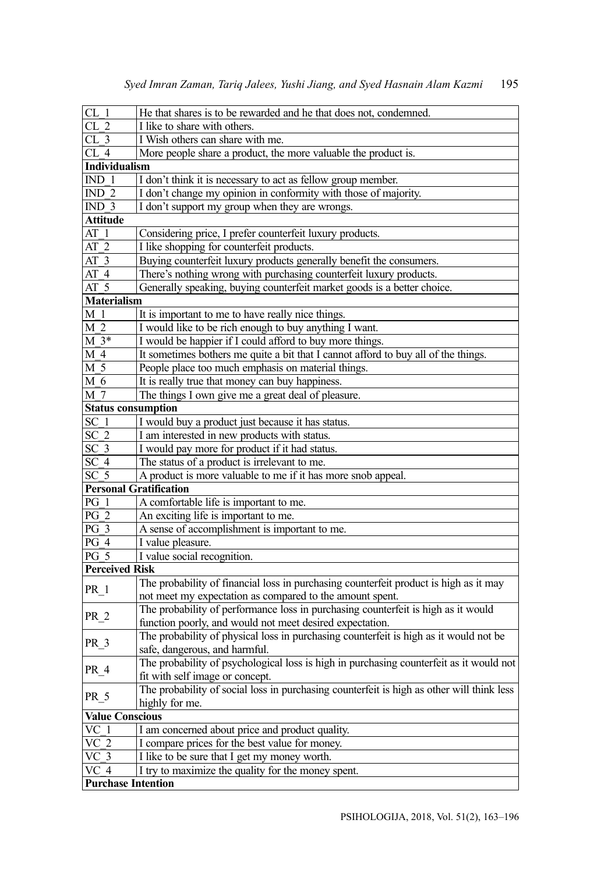| CL <sub>1</sub>           | He that shares is to be rewarded and he that does not, condemned.                         |
|---------------------------|-------------------------------------------------------------------------------------------|
| CL <sub>2</sub>           | I like to share with others.                                                              |
| CL <sub>3</sub>           | I Wish others can share with me.                                                          |
| CL <sub>4</sub>           | More people share a product, the more valuable the product is.                            |
| Individualism             |                                                                                           |
| IND <sub>1</sub>          | I don't think it is necessary to act as fellow group member.                              |
| IND $2$                   | I don't change my opinion in conformity with those of majority.                           |
| IND $3$                   | I don't support my group when they are wrongs.                                            |
| <b>Attitude</b>           |                                                                                           |
| $AT_1$                    | Considering price, I prefer counterfeit luxury products.                                  |
| AT 2                      | I like shopping for counterfeit products.                                                 |
| $AT\overline{3}$          | Buying counterfeit luxury products generally benefit the consumers.                       |
| AT <sub>4</sub>           | There's nothing wrong with purchasing counterfeit luxury products.                        |
| AT <sub>5</sub>           | Generally speaking, buying counterfeit market goods is a better choice.                   |
| <b>Materialism</b>        |                                                                                           |
| M 1                       | It is important to me to have really nice things.                                         |
| M 2                       | I would like to be rich enough to buy anything I want.                                    |
| $M3*$                     | I would be happier if I could afford to buy more things.                                  |
| M 4                       | It sometimes bothers me quite a bit that I cannot afford to buy all of the things.        |
| M 5                       | People place too much emphasis on material things.                                        |
| M 6                       | It is really true that money can buy happiness.                                           |
| M 7                       | The things I own give me a great deal of pleasure.                                        |
| <b>Status consumption</b> |                                                                                           |
| SC 1                      | I would buy a product just because it has status.                                         |
| SC <sub>2</sub>           | I am interested in new products with status.                                              |
| SC <sub>3</sub>           | I would pay more for product if it had status.                                            |
| SC <sub>4</sub>           | The status of a product is irrelevant to me.                                              |
| SC <sub>5</sub>           | A product is more valuable to me if it has more snob appeal.                              |
|                           | <b>Personal Gratification</b>                                                             |
| PG 1                      | A comfortable life is important to me.                                                    |
| PG <sub>2</sub>           | An exciting life is important to me.                                                      |
| PG 3                      | A sense of accomplishment is important to me.                                             |
| PG 4                      | I value pleasure.                                                                         |
| <b>PG 5</b>               | I value social recognition.                                                               |
| <b>Perceived Risk</b>     |                                                                                           |
|                           | The probability of financial loss in purchasing counterfeit product is high as it may     |
| PR 1                      | not meet my expectation as compared to the amount spent.                                  |
|                           | The probability of performance loss in purchasing counterfeit is high as it would         |
| PR 2                      | function poorly, and would not meet desired expectation.                                  |
|                           | The probability of physical loss in purchasing counterfeit is high as it would not be     |
| PR 3                      | safe, dangerous, and harmful.                                                             |
|                           | The probability of psychological loss is high in purchasing counterfeit as it would not   |
| PR 4                      | fit with self image or concept.                                                           |
|                           | The probability of social loss in purchasing counterfeit is high as other will think less |
| $PR_5$                    | highly for me.                                                                            |
| <b>Value Conscious</b>    |                                                                                           |
| VC 1                      | I am concerned about price and product quality.                                           |
| $\overline{VC}$ 2         | I compare prices for the best value for money.                                            |
| $\sqrt{C}$ 3              | I like to be sure that I get my money worth.                                              |
| VC 4                      | I try to maximize the quality for the money spent.                                        |
| <b>Purchase Intention</b> |                                                                                           |
|                           |                                                                                           |